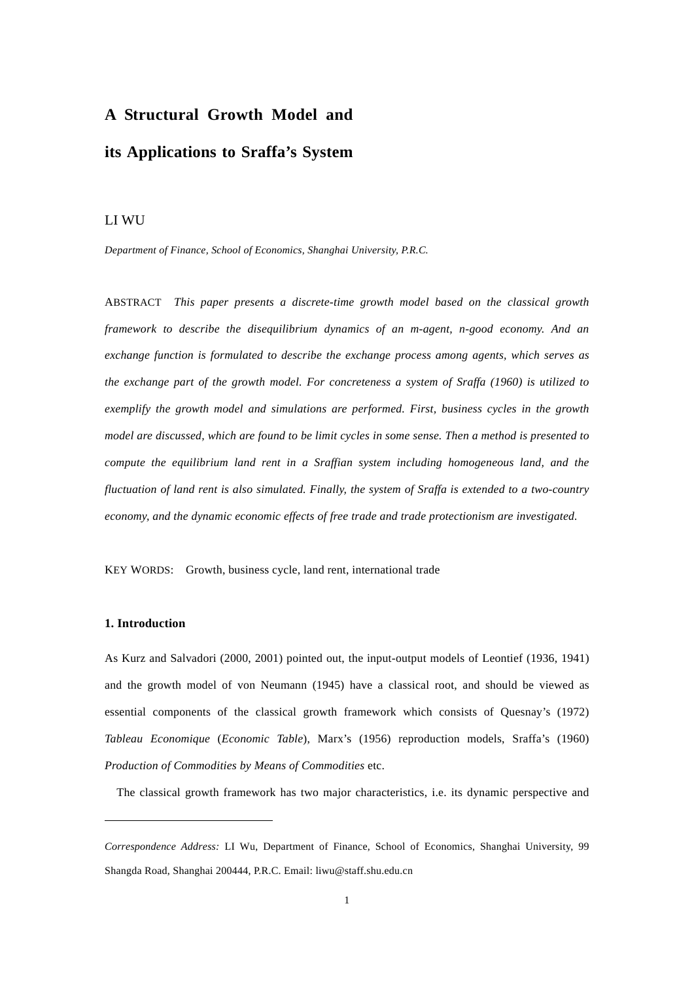# **A Structural Growth Model and its Applications to Sraffa's System**

## LI WU

*Department of Finance, School of Economics, Shanghai University, P.R.C.* 

ABSTRACT*This paper presents a discrete-time growth model based on the classical growth framework to describe the disequilibrium dynamics of an m-agent, n-good economy. And an exchange function is formulated to describe the exchange process among agents, which serves as the exchange part of the growth model. For concreteness a system of Sraffa (1960) is utilized to exemplify the growth model and simulations are performed. First, business cycles in the growth model are discussed, which are found to be limit cycles in some sense. Then a method is presented to compute the equilibrium land rent in a Sraffian system including homogeneous land, and the fluctuation of land rent is also simulated. Finally, the system of Sraffa is extended to a two-country economy, and the dynamic economic effects of free trade and trade protectionism are investigated.* 

KEY WORDS: Growth, business cycle, land rent, international trade

## **1. Introduction**

 $\overline{a}$ 

As Kurz and Salvadori (2000, 2001) pointed out, the input-output models of Leontief (1936, 1941) and the growth model of von Neumann (1945) have a classical root, and should be viewed as essential components of the classical growth framework which consists of Quesnay's (1972) *Tableau Economique* (*Economic Table*), Marx's (1956) reproduction models, Sraffa's (1960) *Production of Commodities by Means of Commodities* etc.

The classical growth framework has two major characteristics, i.e. its dynamic perspective and

*Correspondence Address:* LI Wu, Department of Finance, School of Economics, Shanghai University, 99 Shangda Road, Shanghai 200444, P.R.C. Email: liwu@staff.shu.edu.cn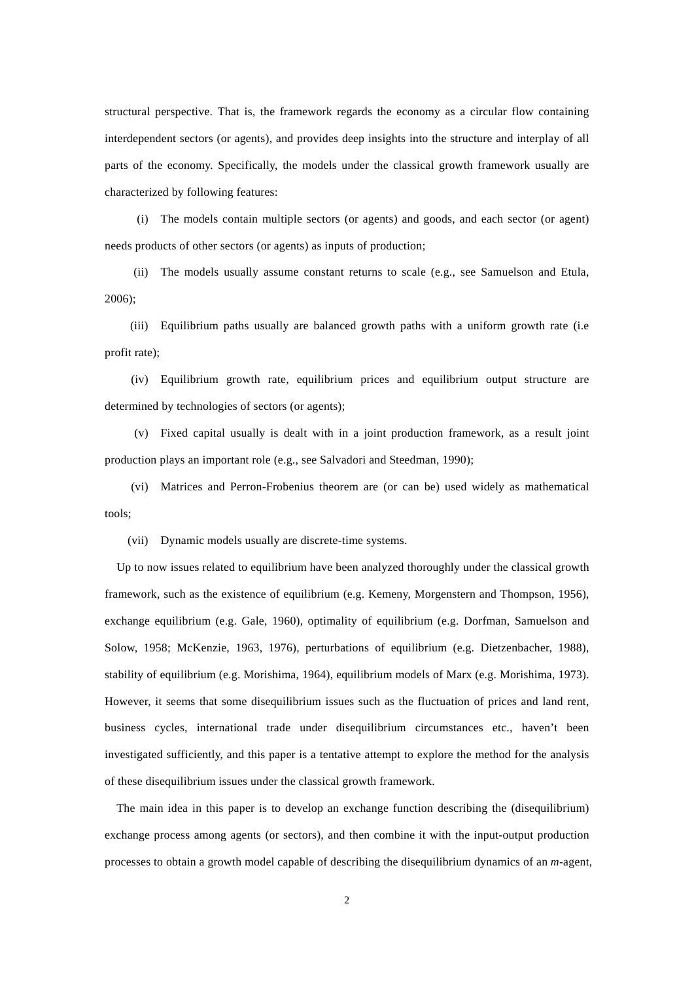structural perspective. That is, the framework regards the economy as a circular flow containing interdependent sectors (or agents), and provides deep insights into the structure and interplay of all parts of the economy. Specifically, the models under the classical growth framework usually are characterized by following features:

 (i) The models contain multiple sectors (or agents) and goods, and each sector (or agent) needs products of other sectors (or agents) as inputs of production;

 (ii) The models usually assume constant returns to scale (e.g., see Samuelson and Etula, 2006);

 (iii) Equilibrium paths usually are balanced growth paths with a uniform growth rate (i.e profit rate);

 (iv) Equilibrium growth rate, equilibrium prices and equilibrium output structure are determined by technologies of sectors (or agents);

 (v) Fixed capital usually is dealt with in a joint production framework, as a result joint production plays an important role (e.g., see Salvadori and Steedman, 1990);

 (vi) Matrices and Perron-Frobenius theorem are (or can be) used widely as mathematical tools;

(vii) Dynamic models usually are discrete-time systems.

Up to now issues related to equilibrium have been analyzed thoroughly under the classical growth framework, such as the existence of equilibrium (e.g. Kemeny, Morgenstern and Thompson, 1956), exchange equilibrium (e.g. Gale, 1960), optimality of equilibrium (e.g. Dorfman, Samuelson and Solow, 1958; McKenzie, 1963, 1976), perturbations of equilibrium (e.g. Dietzenbacher, 1988), stability of equilibrium (e.g. Morishima, 1964), equilibrium models of Marx (e.g. Morishima, 1973). However, it seems that some disequilibrium issues such as the fluctuation of prices and land rent, business cycles, international trade under disequilibrium circumstances etc., haven't been investigated sufficiently, and this paper is a tentative attempt to explore the method for the analysis of these disequilibrium issues under the classical growth framework.

The main idea in this paper is to develop an exchange function describing the (disequilibrium) exchange process among agents (or sectors), and then combine it with the input-output production processes to obtain a growth model capable of describing the disequilibrium dynamics of an *m*-agent,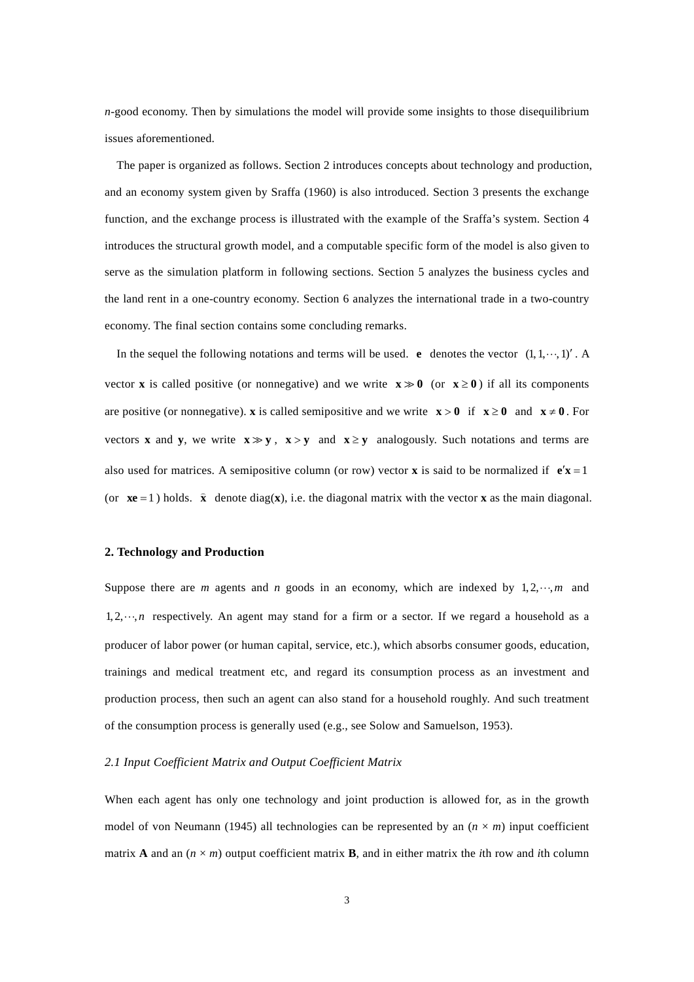*n*-good economy. Then by simulations the model will provide some insights to those disequilibrium issues aforementioned.

The paper is organized as follows. Section 2 introduces concepts about technology and production, and an economy system given by Sraffa (1960) is also introduced. Section 3 presents the exchange function, and the exchange process is illustrated with the example of the Sraffa's system. Section 4 introduces the structural growth model, and a computable specific form of the model is also given to serve as the simulation platform in following sections. Section 5 analyzes the business cycles and the land rent in a one-country economy. Section 6 analyzes the international trade in a two-country economy. The final section contains some concluding remarks.

In the sequel the following notations and terms will be used. **e** denotes the vector  $(1, 1, \dots, 1)'$ . A vector **x** is called positive (or nonnegative) and we write  $\mathbf{x} \gg 0$  (or  $\mathbf{x} \ge 0$ ) if all its components are positive (or nonnegative). **x** is called semipositive and we write  $\mathbf{x} > 0$  if  $\mathbf{x} \ge 0$  and  $\mathbf{x} \ne 0$ . For vectors **x** and **y**, we write  $x \gg y$ ,  $x > y$  and  $x \ge y$  analogously. Such notations and terms are also used for matrices. A semipositive column (or row) vector **x** is said to be normalized if  $\mathbf{e}'\mathbf{x} = 1$ (or  $\mathbf{x}e = 1$ ) holds.  $\hat{\mathbf{x}}$  denote diag( $\mathbf{x}$ ), i.e. the diagonal matrix with the vector **x** as the main diagonal.

#### **2. Technology and Production**

Suppose there are *m* agents and *n* goods in an economy, which are indexed by  $1, 2, \dots, m$  and  $1, 2, \dots, n$  respectively. An agent may stand for a firm or a sector. If we regard a household as a producer of labor power (or human capital, service, etc.), which absorbs consumer goods, education, trainings and medical treatment etc, and regard its consumption process as an investment and production process, then such an agent can also stand for a household roughly. And such treatment of the consumption process is generally used (e.g., see Solow and Samuelson, 1953).

## *2.1 Input Coefficient Matrix and Output Coefficient Matrix*

When each agent has only one technology and joint production is allowed for, as in the growth model of von Neumann (1945) all technologies can be represented by an  $(n \times m)$  input coefficient matrix **A** and an  $(n \times m)$  output coefficient matrix **B**, and in either matrix the *i*th row and *i*th column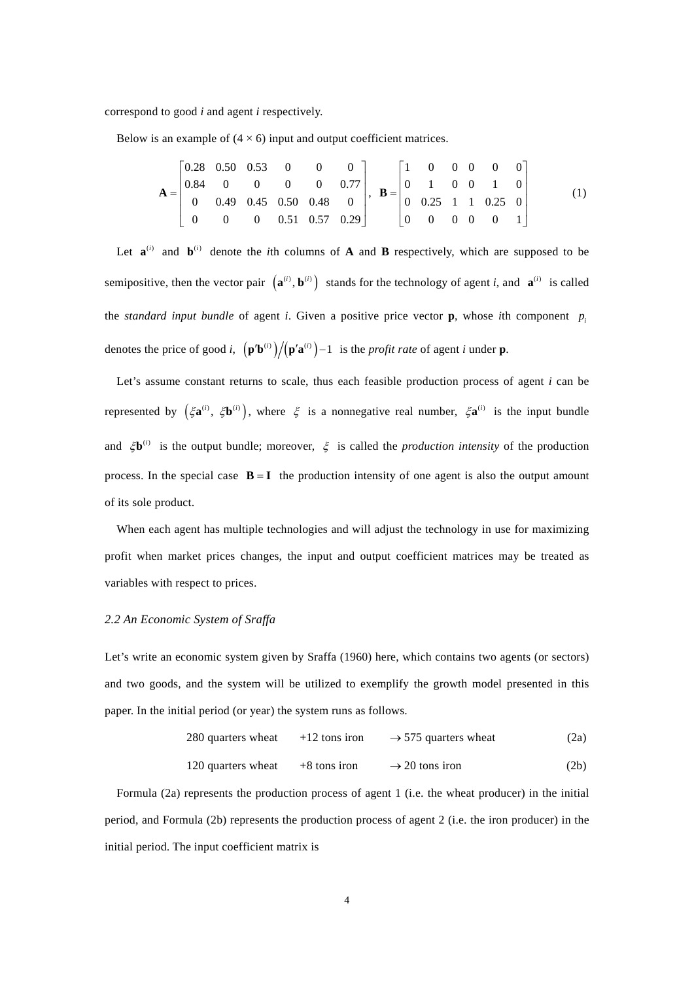correspond to good *i* and agent *i* respectively.

Below is an example of  $(4 \times 6)$  input and output coefficient matrices.

$$
\mathbf{A} = \begin{bmatrix} 0.28 & 0.50 & 0.53 & 0 & 0 & 0 \\ 0.84 & 0 & 0 & 0 & 0 & 0.77 \\ 0 & 0.49 & 0.45 & 0.50 & 0.48 & 0 \\ 0 & 0 & 0 & 0.51 & 0.57 & 0.29 \end{bmatrix}, \quad \mathbf{B} = \begin{bmatrix} 1 & 0 & 0 & 0 & 0 & 0 \\ 0 & 1 & 0 & 0 & 1 & 0 \\ 0 & 0.25 & 1 & 1 & 0.25 & 0 \\ 0 & 0 & 0 & 0 & 1 \end{bmatrix} \tag{1}
$$

Let  $\mathbf{a}^{(i)}$  and  $\mathbf{b}^{(i)}$  denote the *i*th columns of **A** and **B** respectively, which are supposed to be semipositive, then the vector pair  $({\bf a}^{(i)}, {\bf b}^{(i)})$  stands for the technology of agent *i*, and  ${\bf a}^{(i)}$  is called the *standard input bundle* of agent *i*. Given a positive price vector **p**, whose *i*th component  $p_i$ denotes the price of good *i*,  $(p'b^{(i)})/(p'a^{(i)})-1$  is the *profit rate* of agent *i* under **p**.

Let's assume constant returns to scale, thus each feasible production process of agent *i* can be represented by  $(\xi \mathbf{a}^{(i)}, \xi \mathbf{b}^{(i)})$ , where  $\xi$  is a nonnegative real number,  $\xi \mathbf{a}^{(i)}$  is the input bundle and  $\zeta \mathbf{b}^{(i)}$  is the output bundle; moreover,  $\zeta$  is called the *production intensity* of the production process. In the special case  $B = I$  the production intensity of one agent is also the output amount of its sole product.

When each agent has multiple technologies and will adjust the technology in use for maximizing profit when market prices changes, the input and output coefficient matrices may be treated as variables with respect to prices.

# *2.2 An Economic System of Sraffa*

Let's write an economic system given by Sraffa (1960) here, which contains two agents (or sectors) and two goods, and the system will be utilized to exemplify the growth model presented in this paper. In the initial period (or year) the system runs as follows.

280 quarters wheat 
$$
+12
$$
 tons iron  $\rightarrow$  575 quarters wheat (2a)

120 quarters wheat 
$$
+8
$$
 tons iron  $\rightarrow$  20 tons iron (2b)

Formula (2a) represents the production process of agent 1 (i.e. the wheat producer) in the initial period, and Formula (2b) represents the production process of agent 2 (i.e. the iron producer) in the initial period. The input coefficient matrix is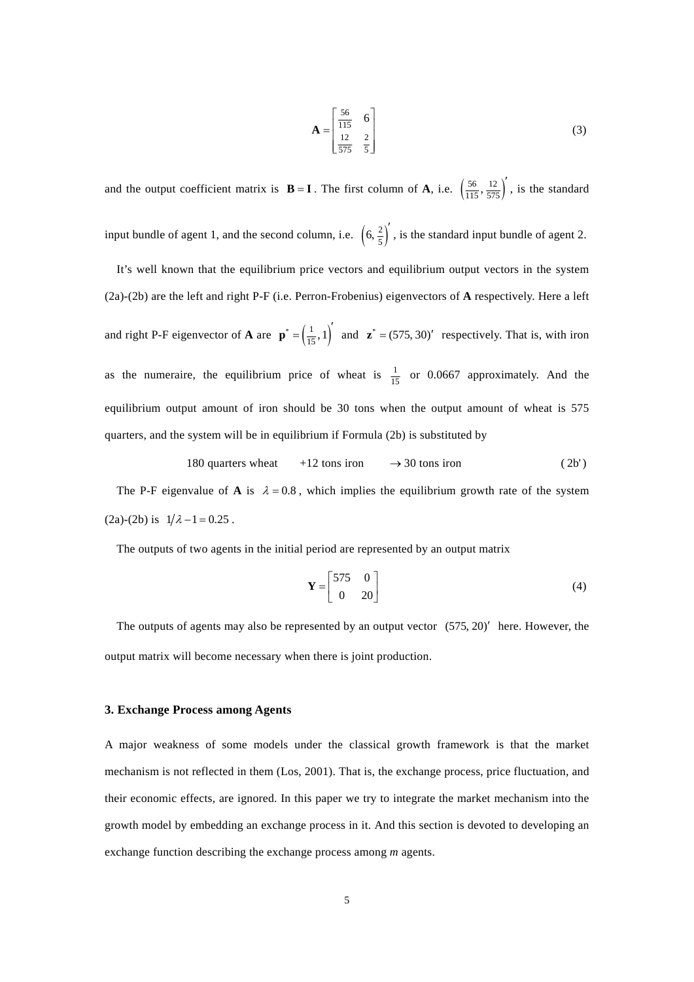$$
\mathbf{A} = \begin{bmatrix} \frac{56}{115} & 6\\ \frac{12}{575} & \frac{2}{5} \end{bmatrix}
$$
 (3)

and the output coefficient matrix is **B** = **I**. The first column of **A**, i.e.  $\left(\frac{56}{115}, \frac{12}{575}\right)$ , is the standard input bundle of agent 1, and the second column, i.e.  $\left(6, \frac{2}{5}\right)'$ , is the standard input bundle of agent 2. It's well known that the equilibrium price vectors and equilibrium output vectors in the system (2a)-(2b) are the left and right P-F (i.e. Perron-Frobenius) eigenvectors of **A** respectively. Here a left

and right P-F eigenvector of **A** are  $\mathbf{p}^* = \left(\frac{1}{15}, 1\right)^t$  and  $\mathbf{z}^* = (575, 30)^t$  respectively. That is, with iron as the numeraire, the equilibrium price of wheat is  $\frac{1}{15}$  or 0.0667 approximately. And the equilibrium output amount of iron should be 30 tons when the output amount of wheat is 575 quarters, and the system will be in equilibrium if Formula (2b) is substituted by

180 quarters wheat 
$$
+12 \text{ tons iron} \rightarrow 30 \text{ tons iron}
$$
 (2b')

The P-F eigenvalue of **A** is  $\lambda = 0.8$ , which implies the equilibrium growth rate of the system (2a)-(2b) is  $1/\lambda - 1 = 0.25$ .

The outputs of two agents in the initial period are represented by an output matrix

$$
\mathbf{Y} = \begin{bmatrix} 575 & 0 \\ 0 & 20 \end{bmatrix} \tag{4}
$$

The outputs of agents may also be represented by an output vector  $(575, 20)'$  here. However, the output matrix will become necessary when there is joint production.

## **3. Exchange Process among Agents**

A major weakness of some models under the classical growth framework is that the market mechanism is not reflected in them (Los, 2001). That is, the exchange process, price fluctuation, and their economic effects, are ignored. In this paper we try to integrate the market mechanism into the growth model by embedding an exchange process in it. And this section is devoted to developing an exchange function describing the exchange process among *m* agents.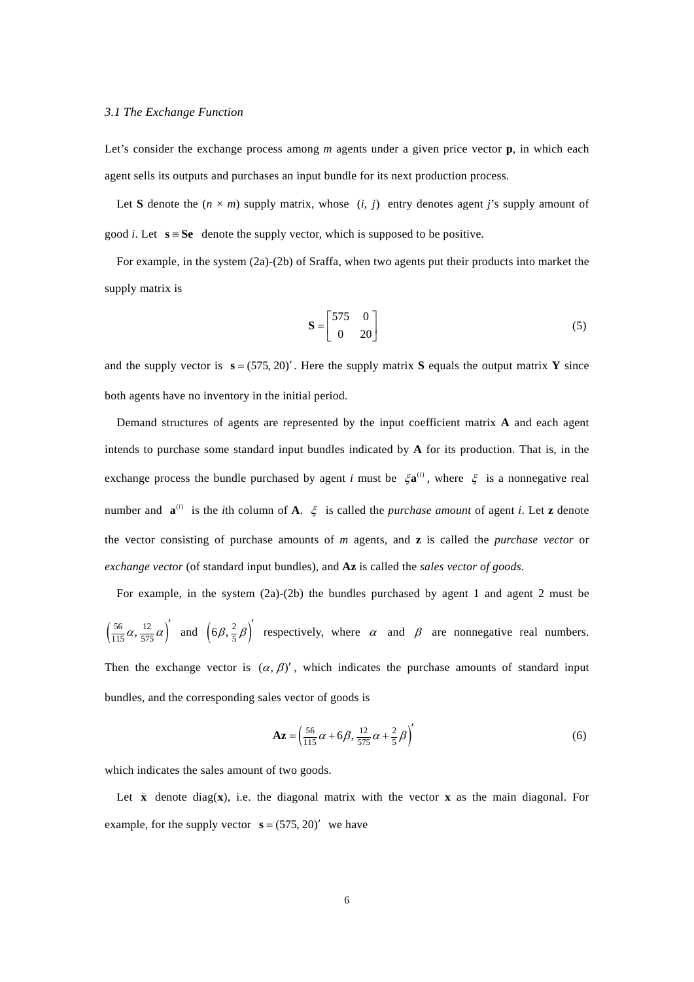## *3.1 The Exchange Function*

Let's consider the exchange process among *m* agents under a given price vector **p**, in which each agent sells its outputs and purchases an input bundle for its next production process.

Let **S** denote the  $(n \times m)$  supply matrix, whose  $(i, j)$  entry denotes agent *j*'s supply amount of good *i*. Let  $s = Se$  denote the supply vector, which is supposed to be positive.

For example, in the system (2a)-(2b) of Sraffa, when two agents put their products into market the supply matrix is

$$
\mathbf{S} = \begin{bmatrix} 575 & 0 \\ 0 & 20 \end{bmatrix} \tag{5}
$$

and the supply vector is  $\mathbf{s} = (575, 20)'$ . Here the supply matrix **S** equals the output matrix **Y** since both agents have no inventory in the initial period.

Demand structures of agents are represented by the input coefficient matrix **A** and each agent intends to purchase some standard input bundles indicated by **A** for its production. That is, in the exchange process the bundle purchased by agent *i* must be  $\zeta \mathbf{a}^{(i)}$ , where  $\zeta$  is a nonnegative real number and  $\mathbf{a}^{(i)}$  is the *i*th column of **A**.  $\xi$  is called the *purchase amount* of agent *i*. Let **z** denote the vector consisting of purchase amounts of *m* agents, and **z** is called the *purchase vector* or *exchange vector* (of standard input bundles), and **Az** is called the *sales vector of goods*.

For example, in the system (2a)-(2b) the bundles purchased by agent 1 and agent 2 must be  $\left(\frac{56}{115}\alpha, \frac{12}{575}\alpha\right)'$  and  $\left(6\beta, \frac{2}{5}\beta\right)'$  respectively, where  $\alpha$  and  $\beta$  are nonnegative real numbers. Then the exchange vector is  $(\alpha, \beta)'$ , which indicates the purchase amounts of standard input bundles, and the corresponding sales vector of goods is

$$
\mathbf{A}\mathbf{z} = \left(\frac{56}{115}\alpha + 6\beta, \frac{12}{575}\alpha + \frac{2}{5}\beta\right)'
$$
(6)

which indicates the sales amount of two goods.

Let **x** denote diag(**x**), i.e. the diagonal matrix with the vector **<sup>x</sup>** as the main diagonal. For example, for the supply vector  $\mathbf{s} = (575, 20)'$  we have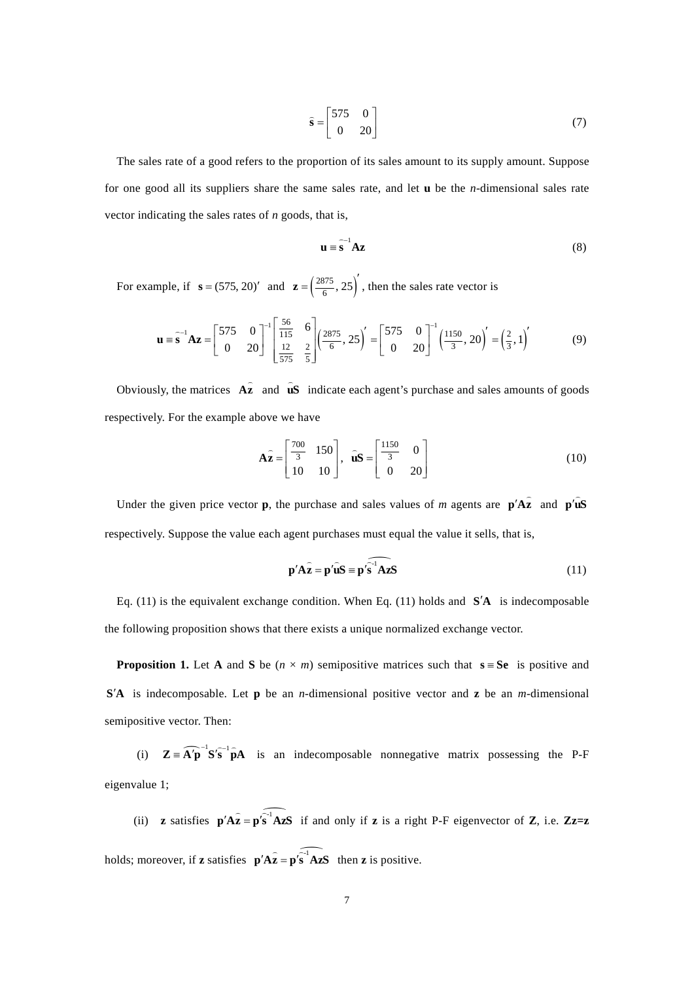$$
\hat{\mathbf{s}} = \begin{bmatrix} 575 & 0 \\ 0 & 20 \end{bmatrix} \tag{7}
$$

The sales rate of a good refers to the proportion of its sales amount to its supply amount. Suppose for one good all its suppliers share the same sales rate, and let **u** be the *n*-dimensional sales rate vector indicating the sales rates of *n* goods, that is,

$$
\mathbf{u} = \hat{\mathbf{s}}^{-1} \mathbf{A} \mathbf{z}
$$
 (8)

For example, if  $\mathbf{s} = (575, 20)'$  and  $\mathbf{z} = \left(\frac{2875}{6}, 25\right)'$ , then the sales rate vector is

$$
\mathbf{u} = \mathbf{\hat{s}}^{-1} \mathbf{A} \mathbf{z} = \begin{bmatrix} 575 & 0 \\ 0 & 20 \end{bmatrix}^{-1} \begin{bmatrix} \frac{56}{115} & 6 \\ \frac{12}{575} & \frac{2}{5} \end{bmatrix} \begin{pmatrix} \frac{2875}{6}, 25 \end{pmatrix} = \begin{bmatrix} 575 & 0 \\ 0 & 20 \end{bmatrix}^{-1} \begin{pmatrix} \frac{1150}{3}, 20 \end{pmatrix} = \begin{pmatrix} \frac{2}{3}, 1 \end{pmatrix}'
$$
(9)

Obviously, the matrices **Az**  $\overline{a}$ and  $\hat{\mathbf{u}}\mathbf{S}$  indicate each agent's purchase and sales amounts of goods respectively. For the example above we have

$$
\widehat{\mathbf{Az}} = \begin{bmatrix} \frac{700}{3} & 150 \\ 10 & 10 \end{bmatrix}, \quad \widehat{\mathbf{u}}\mathbf{S} = \begin{bmatrix} \frac{1150}{3} & 0 \\ 0 & 20 \end{bmatrix} \tag{10}
$$

Under the given price vector **p**, the purchase and sales values of *m* agents are  $p' \hat{A} \hat{z}$  and  $p' \hat{u} \hat{S}$ respectively. Suppose the value each agent purchases must equal the value it sells, that is,

$$
\mathbf{p}' \mathbf{A} \hat{\mathbf{z}} = \mathbf{p}' \hat{\mathbf{u}} \mathbf{S} = \mathbf{p}' \hat{\mathbf{s}}^{-1} \mathbf{A} \mathbf{z} \mathbf{S}
$$
 (11)

Eq. (11) is the equivalent exchange condition. When Eq. (11) holds and **S A** is indecomposable the following proposition shows that there exists a unique normalized exchange vector.

**Proposition 1.** Let **A** and **S** be  $(n \times m)$  semipositive matrices such that  $\mathbf{s} = \mathbf{S}\mathbf{e}$  is positive and **S A** is indecomposable. Let **p** be an *n*-dimensional positive vector and **z** be an *m*-dimensional semipositive vector. Then:

(i)  $\mathbf{Z} = \widehat{\mathbf{A}'\mathbf{p}}^{-1} \mathbf{S}' \widehat{\mathbf{s}}^{-1} \widehat{\mathbf{p}} \mathbf{A}$  is an indecomposable nonnegative matrix possessing the P-F eigenvalue 1;

(ii) **z** satisfies  $p' \widehat{Az} = p' \widehat{s' AzS}$  if and only if **z** is a right P-F eigenvector of **Z**, i.e. **Zz=z** holds; moreover, if **z** satisfies  $p' \hat{A} \hat{z} = p' \hat{s} \hat{A} \hat{z}$  then **z** is positive.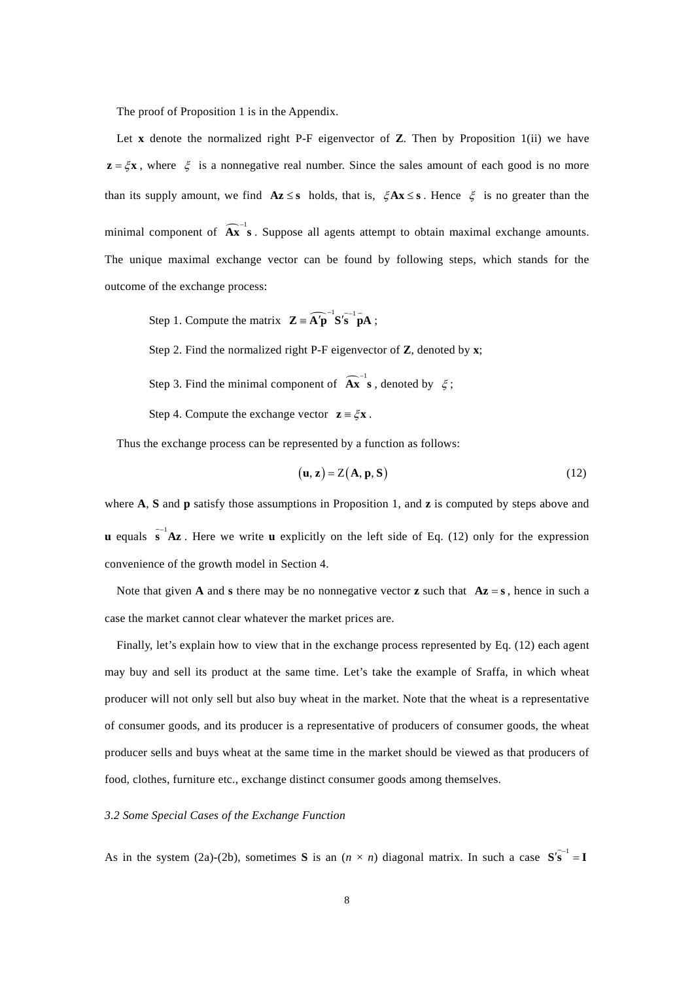The proof of Proposition 1 is in the Appendix.

Let **x** denote the normalized right P-F eigenvector of **Z**. Then by Proposition 1(ii) we have  $z = \zeta x$ , where  $\zeta$  is a nonnegative real number. Since the sales amount of each good is no more than its supply amount, we find  $Az \leq s$  holds, that is,  $\zeta Ax \leq s$ . Hence  $\zeta$  is no greater than the minimal component of  $\widehat{A}x^{-1}$ **s**. Suppose all agents attempt to obtain maximal exchange amounts. The unique maximal exchange vector can be found by following steps, which stands for the outcome of the exchange process:

Step 1. Compute the matrix  $\mathbf{Z} = \widehat{\mathbf{A}'\mathbf{p}}^{-1}\mathbf{S}'\widehat{\mathbf{s}}^{-1}\widehat{\mathbf{p}}\mathbf{A}$ ;

Step 2. Find the normalized right P-F eigenvector of **Z**, denoted by **x**;

Step 3. Find the minimal component of  $\widehat{A}x^{-1}$  s, denoted by  $\xi$ ;

Step 4. Compute the exchange vector  $\mathbf{z} = \zeta \mathbf{x}$ .

Thus the exchange process can be represented by a function as follows:

$$
(\mathbf{u}, \mathbf{z}) = Z(\mathbf{A}, \mathbf{p}, \mathbf{S})
$$
 (12)

where **A**, **S** and **p** satisfy those assumptions in Proposition 1, and **z** is computed by steps above and **u** equals  $\hat{\mathbf{s}}^{-1}\mathbf{A}\mathbf{z}$ . Here we write **u** explicitly on the left side of Eq. (12) only for the expression convenience of the growth model in Section 4.

Note that given **A** and **s** there may be no nonnegative vector **z** such that  $A\mathbf{z} = \mathbf{s}$ , hence in such a case the market cannot clear whatever the market prices are.

Finally, let's explain how to view that in the exchange process represented by Eq. (12) each agent may buy and sell its product at the same time. Let's take the example of Sraffa, in which wheat producer will not only sell but also buy wheat in the market. Note that the wheat is a representative of consumer goods, and its producer is a representative of producers of consumer goods, the wheat producer sells and buys wheat at the same time in the market should be viewed as that producers of food, clothes, furniture etc., exchange distinct consumer goods among themselves.

## *3.2 Some Special Cases of the Exchange Function*

As in the system (2a)-(2b), sometimes **S** is an  $(n \times n)$  diagonal matrix. In such a case  $S(\mathbf{s}^{-1}) = \mathbf{I}$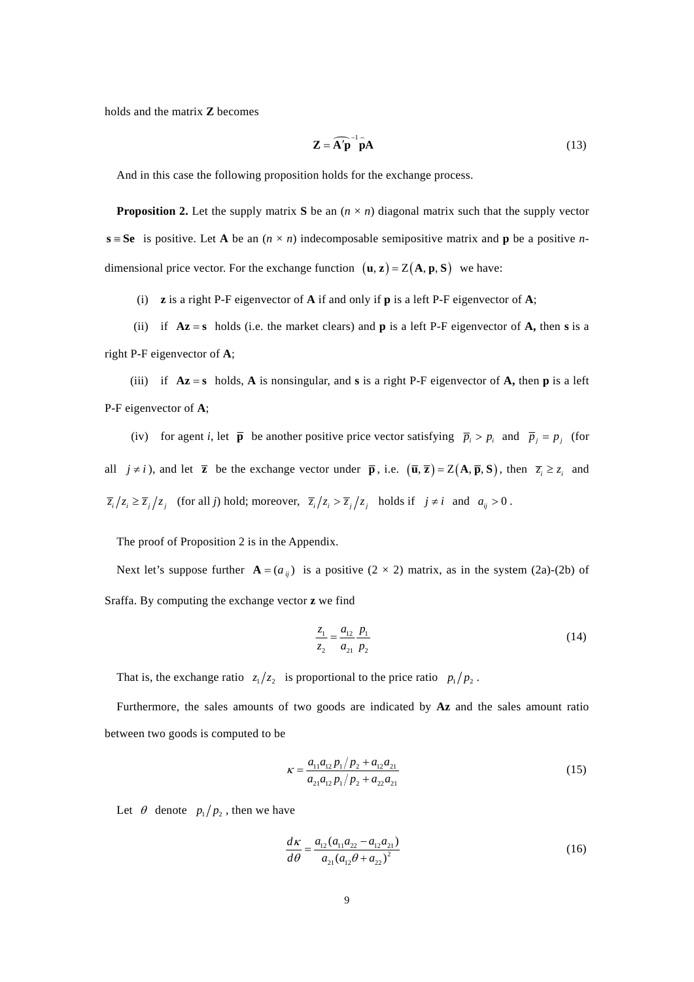holds and the matrix **Z** becomes

$$
\mathbf{Z} = \widehat{\mathbf{A}'\mathbf{p}}^{-1} \widehat{\mathbf{p}} \mathbf{A}
$$
 (13)

And in this case the following proposition holds for the exchange process.

**Proposition 2.** Let the supply matrix **S** be an  $(n \times n)$  diagonal matrix such that the supply vector  $s = Se$  is positive. Let **A** be an  $(n \times n)$  indecomposable semipositive matrix and **p** be a positive *n*dimensional price vector. For the exchange function  $(\mathbf{u}, \mathbf{z}) = Z(\mathbf{A}, \mathbf{p}, \mathbf{S})$  we have:

(i) **z** is a right P-F eigenvector of **A** if and only if **p** is a left P-F eigenvector of **A**;

(ii) if  $Az = s$  holds (i.e. the market clears) and **p** is a left P-F eigenvector of **A**, then s is a right P-F eigenvector of **A**;

(iii) if  $Az = s$  holds, A is nonsingular, and s is a right P-F eigenvector of A, then p is a left P-F eigenvector of **A**;

(iv) for agent *i*, let  $\bar{p}$  be another positive price vector satisfying  $\bar{p}_i > p_i$  and  $\bar{p}_j = p_j$  (for all  $j \neq i$ , and let **z** be the exchange vector under **p**, i.e.  $(\overline{u}, \overline{z}) = Z(A, \overline{p}, S)$ , then  $\overline{z_i} \geq z_i$  and  $\overline{z}_i/z_i \ge \overline{z}_j/z_j$  (for all *j*) hold; moreover,  $\overline{z}_i/z_i > \overline{z}_j/z_j$  holds if  $j \ne i$  and  $a_{ij} > 0$ .

The proof of Proposition 2 is in the Appendix.

Next let's suppose further  $\mathbf{A} = (a_{ij})$  is a positive (2 × 2) matrix, as in the system (2a)-(2b) of Sraffa. By computing the exchange vector **z** we find

$$
\frac{z_1}{z_2} = \frac{a_{12}}{a_{21}} \frac{p_1}{p_2} \tag{14}
$$

That is, the exchange ratio  $z_1/z_2$  is proportional to the price ratio  $p_1/p_2$ .

Furthermore, the sales amounts of two goods are indicated by **Az** and the sales amount ratio between two goods is computed to be

$$
\kappa = \frac{a_{11}a_{12}p_1/p_2 + a_{12}a_{21}}{a_{21}a_{12}p_1/p_2 + a_{22}a_{21}}\tag{15}
$$

Let  $\theta$  denote  $p_1/p_2$ , then we have

$$
\frac{d\kappa}{d\theta} = \frac{a_{12}(a_{11}a_{22} - a_{12}a_{21})}{a_{21}(a_{12}\theta + a_{22})^2}
$$
(16)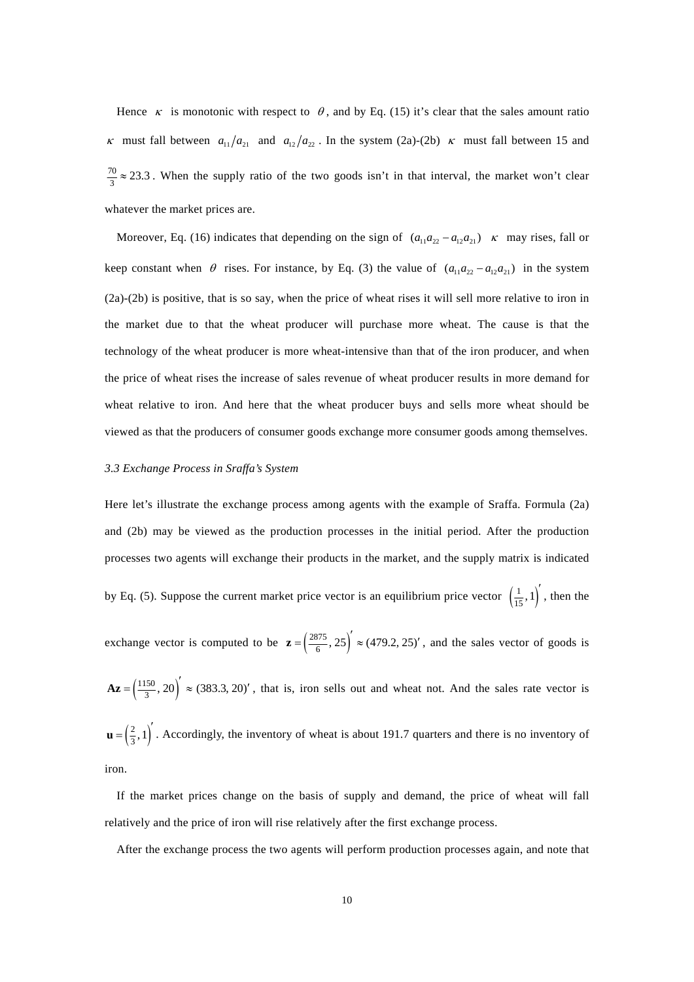Hence  $\kappa$  is monotonic with respect to  $\theta$ , and by Eq. (15) it's clear that the sales amount ratio  $\kappa$  must fall between  $a_{11}/a_{21}$  and  $a_{12}/a_{22}$ . In the system (2a)-(2b)  $\kappa$  must fall between 15 and  $\frac{70}{3} \approx 23.3$ . When the supply ratio of the two goods isn't in that interval, the market won't clear whatever the market prices are.

Moreover, Eq. (16) indicates that depending on the sign of  $(a_{11} a_{22} - a_{12} a_{21}) \ltimes m$  may rises, fall or keep constant when  $\theta$  rises. For instance, by Eq. (3) the value of  $(a_{11} a_{22} - a_{12} a_{21})$  in the system (2a)-(2b) is positive, that is so say, when the price of wheat rises it will sell more relative to iron in the market due to that the wheat producer will purchase more wheat. The cause is that the technology of the wheat producer is more wheat-intensive than that of the iron producer, and when the price of wheat rises the increase of sales revenue of wheat producer results in more demand for wheat relative to iron. And here that the wheat producer buys and sells more wheat should be viewed as that the producers of consumer goods exchange more consumer goods among themselves.

#### *3.3 Exchange Process in Sraffa's System*

Here let's illustrate the exchange process among agents with the example of Sraffa. Formula (2a) and (2b) may be viewed as the production processes in the initial period. After the production processes two agents will exchange their products in the market, and the supply matrix is indicated by Eq. (5). Suppose the current market price vector is an equilibrium price vector  $\left(\frac{1}{15}, 1\right)$ , then the exchange vector is computed to be  $\mathbf{z} = \left(\frac{2875}{6}, 25\right)' \approx (479.2, 25)'$ , and the sales vector of goods is  $A\mathbf{z} = \left(\frac{1150}{3}, 20\right)' \approx (383.3, 20)'$ , that is, iron sells out and wheat not. And the sales rate vector is  $\mathbf{u} = \left(\frac{2}{3}, 1\right)'$ . Accordingly, the inventory of wheat is about 191.7 quarters and there is no inventory of iron.

If the market prices change on the basis of supply and demand, the price of wheat will fall relatively and the price of iron will rise relatively after the first exchange process.

After the exchange process the two agents will perform production processes again, and note that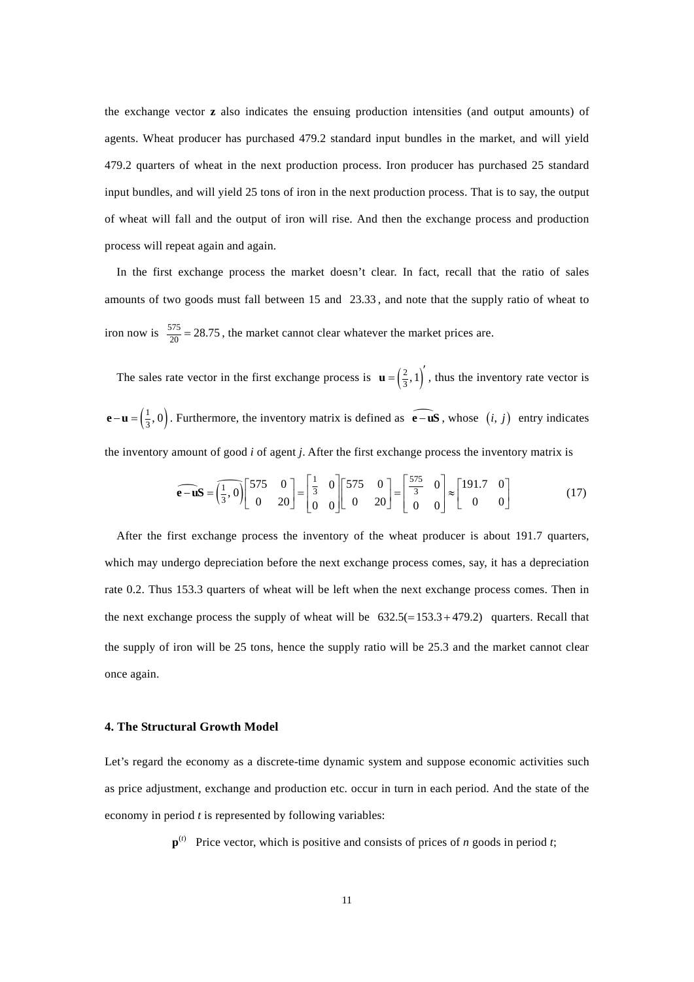the exchange vector **z** also indicates the ensuing production intensities (and output amounts) of agents. Wheat producer has purchased 479.2 standard input bundles in the market, and will yield 479.2 quarters of wheat in the next production process. Iron producer has purchased 25 standard input bundles, and will yield 25 tons of iron in the next production process. That is to say, the output of wheat will fall and the output of iron will rise. And then the exchange process and production process will repeat again and again.

In the first exchange process the market doesn't clear. In fact, recall that the ratio of sales amounts of two goods must fall between 15 and 23.33 , and note that the supply ratio of wheat to iron now is  $\frac{575}{20} = 28.75$ , the market cannot clear whatever the market prices are.

The sales rate vector in the first exchange process is  $\mathbf{u} = \left(\frac{2}{3}, 1\right)'$ , thus the inventory rate vector is  $\mathbf{e} - \mathbf{u} = \left(\frac{1}{3}, 0\right)$ . Furthermore, the inventory matrix is defined as  $\mathbf{e} - \mathbf{u}\mathbf{S}$ , whose  $(i, j)$  entry indicates the inventory amount of good *i* of agent *j*. After the first exchange process the inventory matrix is

$$
\widehat{\mathbf{e} - \mathbf{u}} \mathbf{S} = \left(\frac{1}{3}, 0\right) \begin{bmatrix} 575 & 0 \\ 0 & 20 \end{bmatrix} = \begin{bmatrix} \frac{1}{3} & 0 \\ 0 & 0 \end{bmatrix} \begin{bmatrix} 575 & 0 \\ 0 & 20 \end{bmatrix} = \begin{bmatrix} \frac{575}{3} & 0 \\ 0 & 0 \end{bmatrix} \approx \begin{bmatrix} 191.7 & 0 \\ 0 & 0 \end{bmatrix}
$$
(17)

After the first exchange process the inventory of the wheat producer is about 191.7 quarters, which may undergo depreciation before the next exchange process comes, say, it has a depreciation rate 0.2. Thus 153.3 quarters of wheat will be left when the next exchange process comes. Then in the next exchange process the supply of wheat will be  $632.5(= 153.3 + 479.2)$  quarters. Recall that the supply of iron will be 25 tons, hence the supply ratio will be 25.3 and the market cannot clear once again.

### **4. The Structural Growth Model**

Let's regard the economy as a discrete-time dynamic system and suppose economic activities such as price adjustment, exchange and production etc. occur in turn in each period. And the state of the economy in period *t* is represented by following variables:

 $\mathbf{p}^{(t)}$  Price vector, which is positive and consists of prices of *n* goods in period *t*;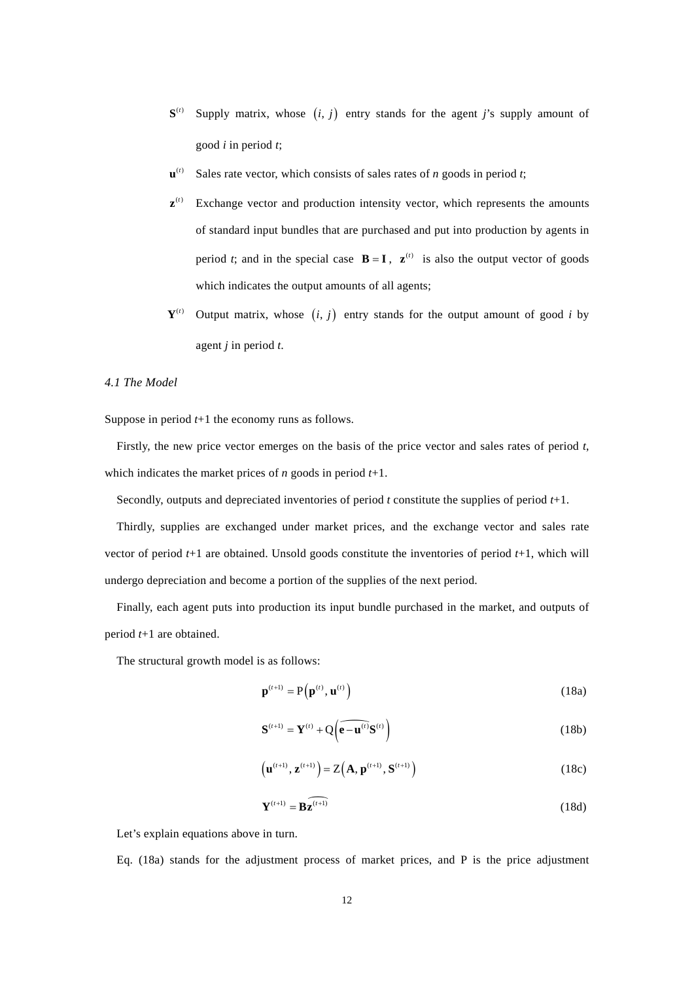- $S^{(i)}$  Supply matrix, whose  $(i, j)$  entry stands for the agent *j*'s supply amount of good *i* in period *t*;
- $\mathbf{u}^{(t)}$  Sales rate vector, which consists of sales rates of *n* goods in period *t*;
- $\mathbf{z}^{(t)}$  Exchange vector and production intensity vector, which represents the amounts of standard input bundles that are purchased and put into production by agents in period *t*; and in the special case  $\mathbf{B} = \mathbf{I}$ ,  $\mathbf{z}^{(t)}$  is also the output vector of goods which indicates the output amounts of all agents;
- $Y^{(t)}$  Output matrix, whose  $(i, j)$  entry stands for the output amount of good *i* by agent *j* in period *t*.

#### *4.1 The Model*

Suppose in period *t*+1 the economy runs as follows.

Firstly, the new price vector emerges on the basis of the price vector and sales rates of period *t*, which indicates the market prices of *n* goods in period *t*+1.

Secondly, outputs and depreciated inventories of period *t* constitute the supplies of period *t*+1.

Thirdly, supplies are exchanged under market prices, and the exchange vector and sales rate vector of period *t*+1 are obtained. Unsold goods constitute the inventories of period *t*+1, which will undergo depreciation and become a portion of the supplies of the next period.

Finally, each agent puts into production its input bundle purchased in the market, and outputs of period *t*+1 are obtained.

The structural growth model is as follows:

$$
\mathbf{p}^{(t+1)} = \mathbf{P}\left(\mathbf{p}^{(t)}, \mathbf{u}^{(t)}\right) \tag{18a}
$$

$$
\mathbf{S}^{(t+1)} = \mathbf{Y}^{(t)} + \mathbf{Q} \left( \widehat{\mathbf{e} - \mathbf{u}^{(t)}} \mathbf{S}^{(t)} \right)
$$
 (18b)

$$
\left(\mathbf{u}^{(t+1)}, \mathbf{z}^{(t+1)}\right) = Z\left(\mathbf{A}, \mathbf{p}^{(t+1)}, \mathbf{S}^{(t+1)}\right)
$$
(18c)

$$
\mathbf{Y}^{(t+1)} = \mathbf{B}\widehat{\mathbf{z}^{(t+1)}}
$$
 (18d)

Let's explain equations above in turn.

Eq. (18a) stands for the adjustment process of market prices, and P is the price adjustment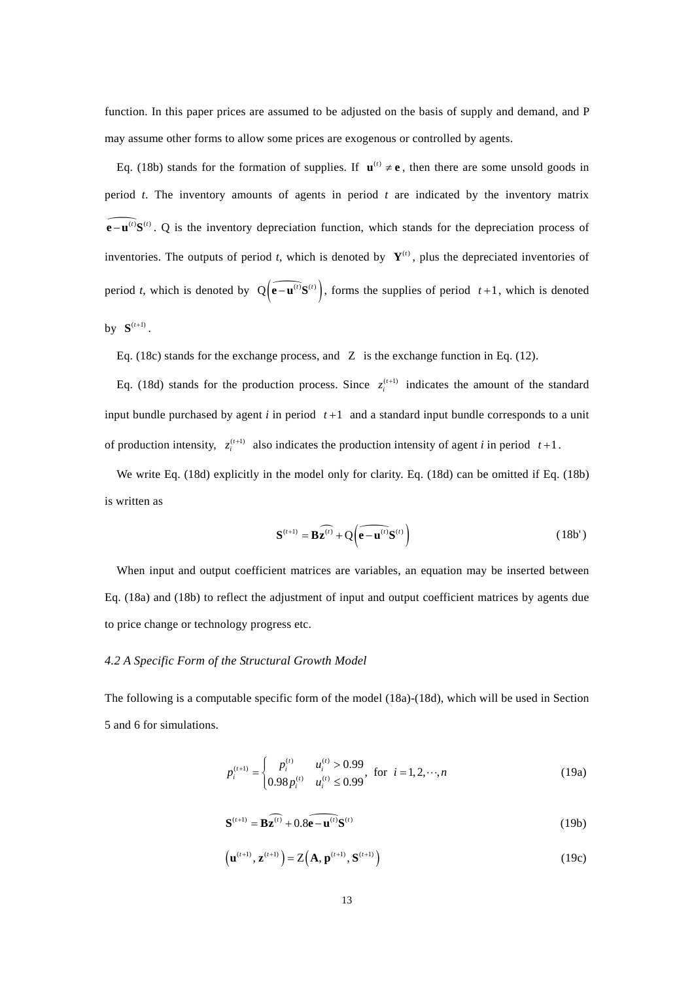function. In this paper prices are assumed to be adjusted on the basis of supply and demand, and P may assume other forms to allow some prices are exogenous or controlled by agents.

Eq. (18b) stands for the formation of supplies. If  $\mathbf{u}^{(t)} \neq \mathbf{e}$ , then there are some unsold goods in period *t*. The inventory amounts of agents in period *t* are indicated by the inventory matrix  $\widehat{e-u^{(r)}}S^{(r)}$ . Q is the inventory depreciation function, which stands for the depreciation process of inventories. The outputs of period *t*, which is denoted by  $Y^{(t)}$ , plus the depreciated inventories of period *t*, which is denoted by  $Q(\widehat{e^{-\mathbf{u}^{(i)}}}S^{(i)})$ , forms the supplies of period  $t+1$ , which is denoted  $b$ **v**  $S^{(t+1)}$ .

Eq. (18c) stands for the exchange process, and  $Z$  is the exchange function in Eq. (12).

Eq. (18d) stands for the production process. Since  $z_i^{(t+1)}$  indicates the amount of the standard input bundle purchased by agent  $i$  in period  $t+1$  and a standard input bundle corresponds to a unit of production intensity,  $z_i^{(t+1)}$  also indicates the production intensity of agent *i* in period  $t+1$ .

We write Eq. (18d) explicitly in the model only for clarity. Eq. (18d) can be omitted if Eq. (18b) is written as

$$
\mathbf{S}^{(t+1)} = \mathbf{B}\widehat{\mathbf{z}^{(t)}} + \mathbf{Q} \left( \widehat{\mathbf{e} - \mathbf{u}^{(t)}} \mathbf{S}^{(t)} \right)
$$
(18b')

When input and output coefficient matrices are variables, an equation may be inserted between Eq. (18a) and (18b) to reflect the adjustment of input and output coefficient matrices by agents due to price change or technology progress etc.

# *4.2 A Specific Form of the Structural Growth Model*

The following is a computable specific form of the model (18a)-(18d), which will be used in Section 5 and 6 for simulations.

$$
p_i^{(t+1)} = \begin{cases} p_i^{(t)} & u_i^{(t)} > 0.99 \\ 0.98 p_i^{(t)} & u_i^{(t)} \le 0.99 \end{cases}
$$
 for  $i = 1, 2, \dots, n$  (19a)

$$
\mathbf{S}^{(t+1)} = \mathbf{B}\widehat{\mathbf{z}^{(t)}} + 0.8\widehat{\mathbf{e} - \mathbf{u}^{(t)}}\mathbf{S}^{(t)}
$$
(19b)

$$
\left(\mathbf{u}^{\left(t+1\right)},\mathbf{z}^{\left(t+1\right)}\right)=Z\left(\mathbf{A},\mathbf{p}^{\left(t+1\right)},\mathbf{S}^{\left(t+1\right)}\right)
$$
\n(19c)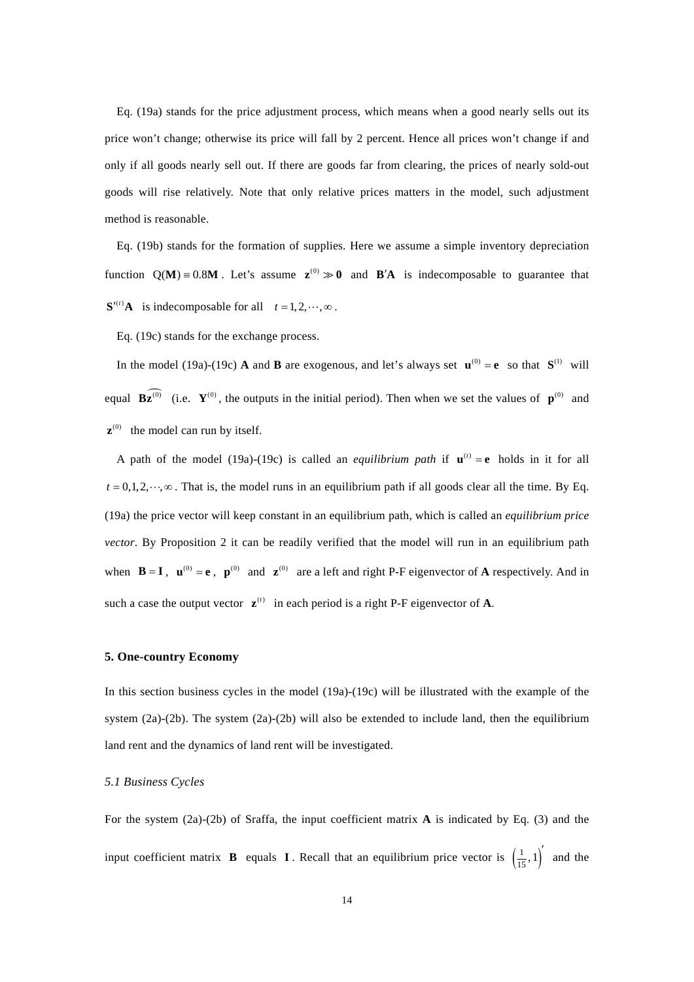Eq. (19a) stands for the price adjustment process, which means when a good nearly sells out its price won't change; otherwise its price will fall by 2 percent. Hence all prices won't change if and only if all goods nearly sell out. If there are goods far from clearing, the prices of nearly sold-out goods will rise relatively. Note that only relative prices matters in the model, such adjustment method is reasonable.

Eq. (19b) stands for the formation of supplies. Here we assume a simple inventory depreciation function  $Q(M) = 0.8M$ . Let's assume  $z^{(0)} \gg 0$  and  $B'A$  is indecomposable to guarantee that  $S'(t)$ **A** is indecomposable for all  $t = 1, 2, \dots, \infty$ .

Eq. (19c) stands for the exchange process.

In the model (19a)-(19c) **A** and **B** are exogenous, and let's always set  $\mathbf{u}^{(0)} = \mathbf{e}$  so that  $\mathbf{S}^{(1)}$  will equal  $\widehat{\mathbf{Bz}^{(0)}}$  (i.e.  $\mathbf{Y}^{(0)}$ , the outputs in the initial period). Then when we set the values of  $\mathbf{p}^{(0)}$  and  $\mathbf{z}^{(0)}$  the model can run by itself.

A path of the model (19a)-(19c) is called an *equilibrium path* if  $\mathbf{u}^{(t)} = \mathbf{e}$  holds in it for all  $t = 0, 1, 2, \dots, \infty$ . That is, the model runs in an equilibrium path if all goods clear all the time. By Eq. (19a) the price vector will keep constant in an equilibrium path, which is called an *equilibrium price vector*. By Proposition 2 it can be readily verified that the model will run in an equilibrium path when  $\mathbf{B} = \mathbf{I}$ ,  $\mathbf{u}^{(0)} = \mathbf{e}$ ,  $\mathbf{p}^{(0)}$  and  $\mathbf{z}^{(0)}$  are a left and right P-F eigenvector of **A** respectively. And in such a case the output vector  $\mathbf{z}^{(t)}$  in each period is a right P-F eigenvector of **A**.

## **5. One-country Economy**

In this section business cycles in the model (19a)-(19c) will be illustrated with the example of the system (2a)-(2b). The system (2a)-(2b) will also be extended to include land, then the equilibrium land rent and the dynamics of land rent will be investigated.

## *5.1 Business Cycles*

For the system (2a)-(2b) of Sraffa, the input coefficient matrix **A** is indicated by Eq. (3) and the input coefficient matrix **B** equals **I**. Recall that an equilibrium price vector is  $\left(\frac{1}{15}, 1\right)^7$  and the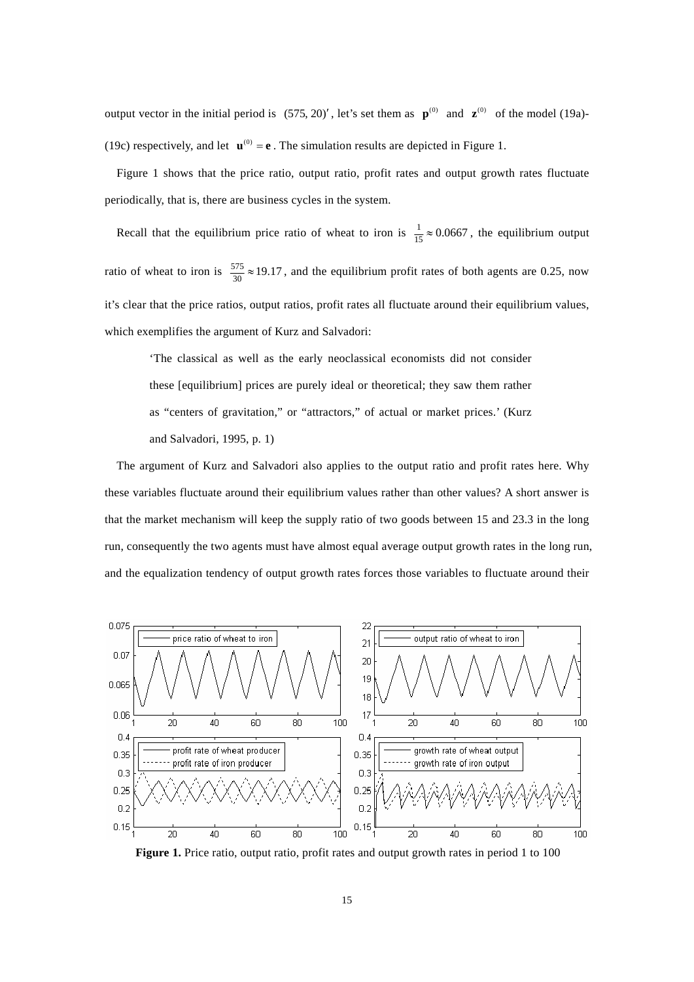output vector in the initial period is  $(575, 20)'$ , let's set them as  $\mathbf{p}^{(0)}$  and  $\mathbf{z}^{(0)}$  of the model (19a)-(19c) respectively, and let  $\mathbf{u}^{(0)} = \mathbf{e}$ . The simulation results are depicted in Figure 1.

Figure 1 shows that the price ratio, output ratio, profit rates and output growth rates fluctuate periodically, that is, there are business cycles in the system.

Recall that the equilibrium price ratio of wheat to iron is  $\frac{1}{15} \approx 0.0667$ , the equilibrium output ratio of wheat to iron is  $\frac{575}{30} \approx 19.17$ , and the equilibrium profit rates of both agents are 0.25, now it's clear that the price ratios, output ratios, profit rates all fluctuate around their equilibrium values, which exemplifies the argument of Kurz and Salvadori:

'The classical as well as the early neoclassical economists did not consider these [equilibrium] prices are purely ideal or theoretical; they saw them rather as "centers of gravitation," or "attractors," of actual or market prices.' (Kurz and Salvadori, 1995, p. 1)

The argument of Kurz and Salvadori also applies to the output ratio and profit rates here. Why these variables fluctuate around their equilibrium values rather than other values? A short answer is that the market mechanism will keep the supply ratio of two goods between 15 and 23.3 in the long run, consequently the two agents must have almost equal average output growth rates in the long run, and the equalization tendency of output growth rates forces those variables to fluctuate around their



**Figure 1.** Price ratio, output ratio, profit rates and output growth rates in period 1 to 100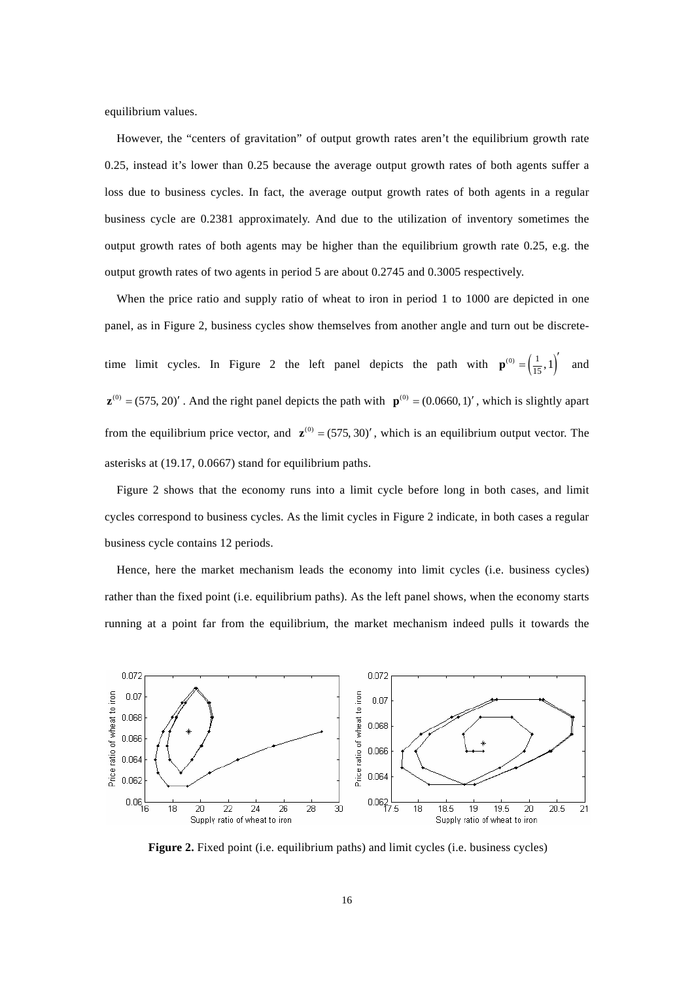equilibrium values.

However, the "centers of gravitation" of output growth rates aren't the equilibrium growth rate 0.25, instead it's lower than 0.25 because the average output growth rates of both agents suffer a loss due to business cycles. In fact, the average output growth rates of both agents in a regular business cycle are 0.2381 approximately. And due to the utilization of inventory sometimes the output growth rates of both agents may be higher than the equilibrium growth rate 0.25, e.g. the output growth rates of two agents in period 5 are about 0.2745 and 0.3005 respectively.

When the price ratio and supply ratio of wheat to iron in period 1 to 1000 are depicted in one panel, as in Figure 2, business cycles show themselves from another angle and turn out be discretetime limit cycles. In Figure 2 the left panel depicts the path with  $\mathbf{p}^{(0)} = \left(\frac{1}{15}, 1\right)^{\prime}$  and  $\mathbf{z}^{(0)} = (575, 20)'$ . And the right panel depicts the path with  $\mathbf{p}^{(0)} = (0.0660, 1)'$ , which is slightly apart from the equilibrium price vector, and  $\mathbf{z}^{(0)} = (575, 30)'$ , which is an equilibrium output vector. The asterisks at (19.17, 0.0667) stand for equilibrium paths.

Figure 2 shows that the economy runs into a limit cycle before long in both cases, and limit cycles correspond to business cycles. As the limit cycles in Figure 2 indicate, in both cases a regular business cycle contains 12 periods.

Hence, here the market mechanism leads the economy into limit cycles (i.e. business cycles) rather than the fixed point (i.e. equilibrium paths). As the left panel shows, when the economy starts running at a point far from the equilibrium, the market mechanism indeed pulls it towards the



**Figure 2.** Fixed point (i.e. equilibrium paths) and limit cycles (i.e. business cycles)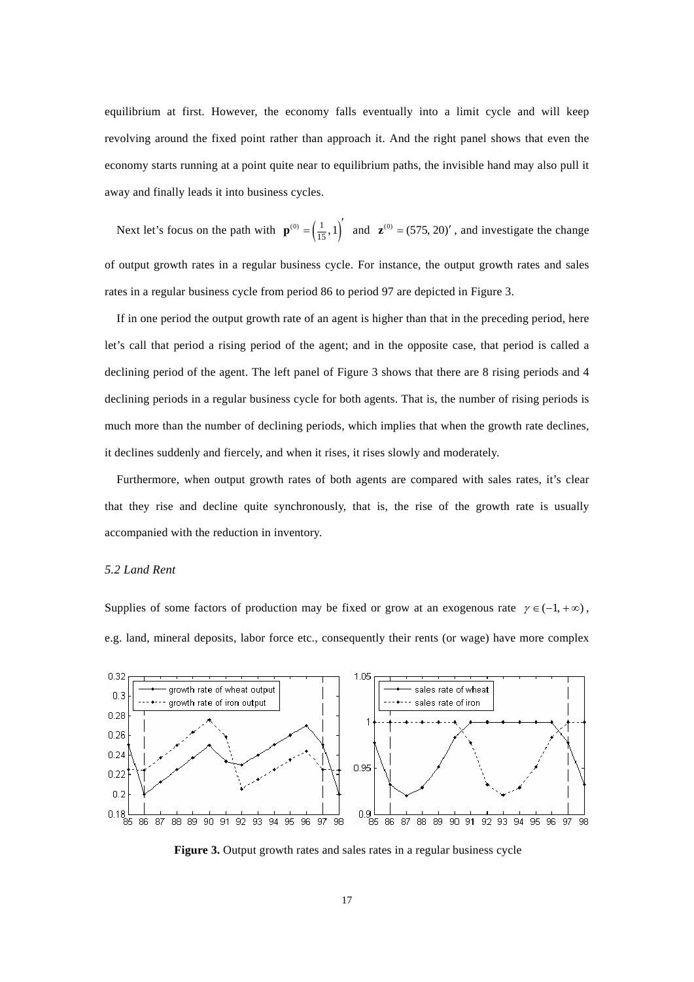equilibrium at first. However, the economy falls eventually into a limit cycle and will keep revolving around the fixed point rather than approach it. And the right panel shows that even the economy starts running at a point quite near to equilibrium paths, the invisible hand may also pull it away and finally leads it into business cycles.

Next let's focus on the path with  $\mathbf{p}^{(0)} = \left(\frac{1}{15}, 1\right)^{\prime}$  and  $\mathbf{z}^{(0)} = (575, 20)^{\prime}$ , and investigate the change of output growth rates in a regular business cycle. For instance, the output growth rates and sales rates in a regular business cycle from period 86 to period 97 are depicted in Figure 3.

If in one period the output growth rate of an agent is higher than that in the preceding period, here let's call that period a rising period of the agent; and in the opposite case, that period is called a declining period of the agent. The left panel of Figure 3 shows that there are 8 rising periods and 4 declining periods in a regular business cycle for both agents. That is, the number of rising periods is much more than the number of declining periods, which implies that when the growth rate declines, it declines suddenly and fiercely, and when it rises, it rises slowly and moderately.

Furthermore, when output growth rates of both agents are compared with sales rates, it's clear that they rise and decline quite synchronously, that is, the rise of the growth rate is usually accompanied with the reduction in inventory.

## *5.2 Land Rent*

Supplies of some factors of production may be fixed or grow at an exogenous rate  $\gamma \in (-1, +\infty)$ , e.g. land, mineral deposits, labor force etc., consequently their rents (or wage) have more complex



**Figure 3.** Output growth rates and sales rates in a regular business cycle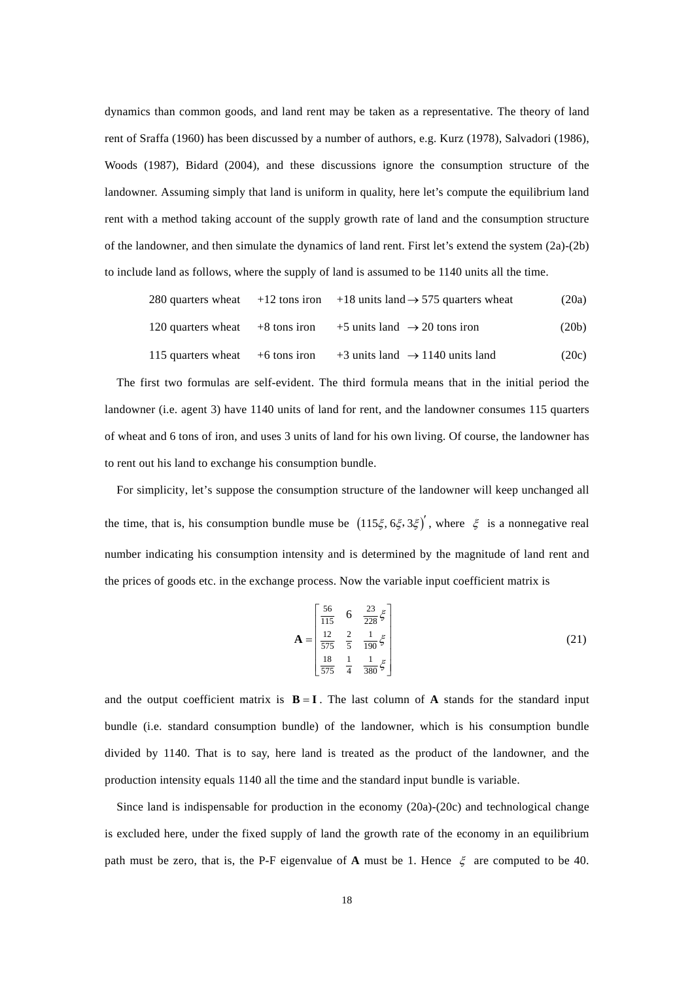dynamics than common goods, and land rent may be taken as a representative. The theory of land rent of Sraffa (1960) has been discussed by a number of authors, e.g. Kurz (1978), Salvadori (1986), Woods (1987), Bidard (2004), and these discussions ignore the consumption structure of the landowner. Assuming simply that land is uniform in quality, here let's compute the equilibrium land rent with a method taking account of the supply growth rate of land and the consumption structure of the landowner, and then simulate the dynamics of land rent. First let's extend the system (2a)-(2b) to include land as follows, where the supply of land is assumed to be 1140 units all the time.

280 quarters wheat +12 tons iron +18 units land 
$$
\rightarrow
$$
 575 quarters wheat (20a)  
120 quarters wheat +8 tons iron +5 units land  $\rightarrow$  20 tons iron (20b)  
115 quarters wheat +6 tons iron +3 units land  $\rightarrow$  1140 units land (20c)

The first two formulas are self-evident. The third formula means that in the initial period the landowner (i.e. agent 3) have 1140 units of land for rent, and the landowner consumes 115 quarters of wheat and 6 tons of iron, and uses 3 units of land for his own living. Of course, the landowner has to rent out his land to exchange his consumption bundle.

For simplicity, let's suppose the consumption structure of the landowner will keep unchanged all the time, that is, his consumption bundle muse be  $(115\xi, 6\xi, 3\xi)'$ , where  $\xi$  is a nonnegative real number indicating his consumption intensity and is determined by the magnitude of land rent and the prices of goods etc. in the exchange process. Now the variable input coefficient matrix is

$$
\mathbf{A} = \begin{bmatrix} \frac{56}{115} & 6 & \frac{23}{228} \xi \\ \frac{12}{575} & \frac{2}{5} & \frac{1}{190} \xi \\ \frac{18}{575} & \frac{1}{4} & \frac{1}{380} \xi \end{bmatrix}
$$
(21)

and the output coefficient matrix is  $B = I$ . The last column of A stands for the standard input bundle (i.e. standard consumption bundle) of the landowner, which is his consumption bundle divided by 1140. That is to say, here land is treated as the product of the landowner, and the production intensity equals 1140 all the time and the standard input bundle is variable.

Since land is indispensable for production in the economy (20a)-(20c) and technological change is excluded here, under the fixed supply of land the growth rate of the economy in an equilibrium path must be zero, that is, the P-F eigenvalue of **A** must be 1. Hence  $\xi$  are computed to be 40.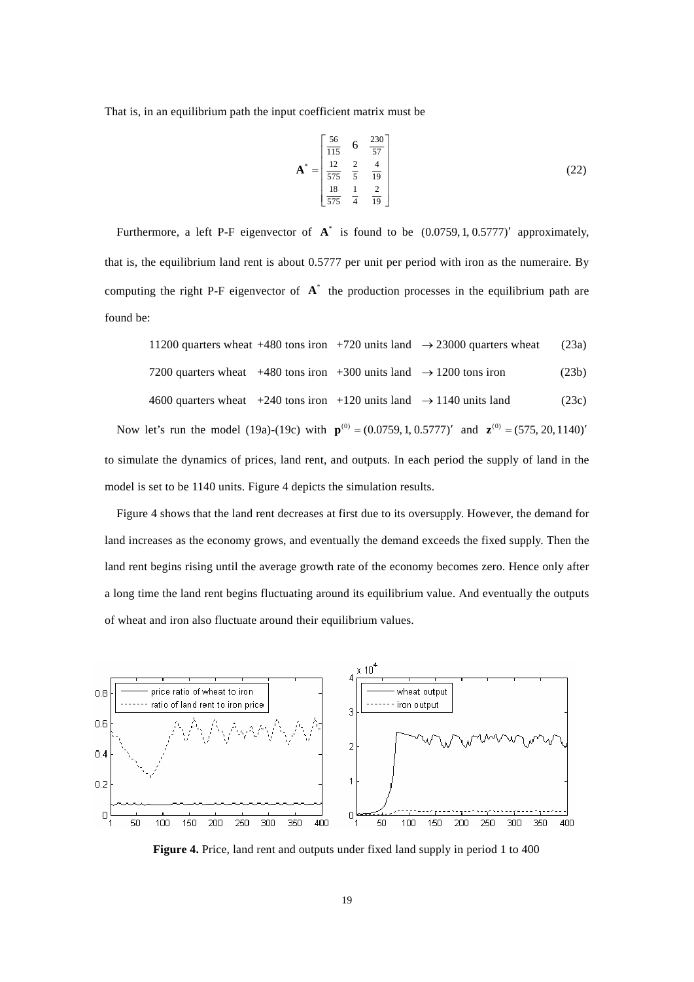That is, in an equilibrium path the input coefficient matrix must be

$$
\mathbf{A}^* = \begin{bmatrix} \frac{56}{115} & 6 & \frac{230}{57} \\ \frac{12}{575} & \frac{2}{5} & \frac{4}{19} \\ \frac{18}{575} & \frac{1}{4} & \frac{2}{19} \end{bmatrix}
$$
(22)

Furthermore, a left P-F eigenvector of  $A^*$  is found to be  $(0.0759, 1, 0.5777)'$  approximately, that is, the equilibrium land rent is about 0.5777 per unit per period with iron as the numeraire. By computing the right P-F eigenvector of  $A^*$  the production processes in the equilibrium path are found be:

|                                                                                     |  | 11200 quarters wheat +480 tons iron +720 units land $\rightarrow$ 23000 quarters wheat | (23a) |
|-------------------------------------------------------------------------------------|--|----------------------------------------------------------------------------------------|-------|
| 7200 quarters wheat $+480$ tons iron $+300$ units land $\rightarrow$ 1200 tons iron |  |                                                                                        | (23b) |

$$
4600 \text{ quarters wheat } +240 \text{ tons iron } +120 \text{ units land } \rightarrow 1140 \text{ units land} \tag{23c}
$$

Now let's run the model (19a)-(19c) with  $\mathbf{p}^{(0)} = (0.0759, 1, 0.5777)'$  and  $\mathbf{z}^{(0)} = (575, 20, 1140)'$ to simulate the dynamics of prices, land rent, and outputs. In each period the supply of land in the model is set to be 1140 units. Figure 4 depicts the simulation results.

Figure 4 shows that the land rent decreases at first due to its oversupply. However, the demand for land increases as the economy grows, and eventually the demand exceeds the fixed supply. Then the land rent begins rising until the average growth rate of the economy becomes zero. Hence only after a long time the land rent begins fluctuating around its equilibrium value. And eventually the outputs of wheat and iron also fluctuate around their equilibrium values.



**Figure 4.** Price, land rent and outputs under fixed land supply in period 1 to 400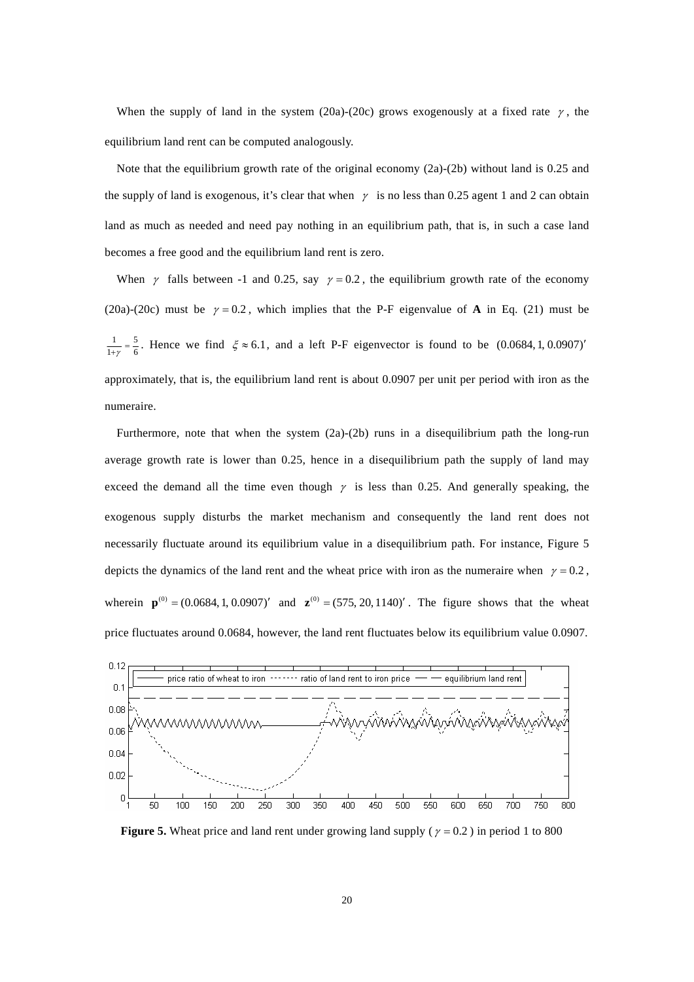When the supply of land in the system (20a)-(20c) grows exogenously at a fixed rate  $\gamma$ , the equilibrium land rent can be computed analogously.

Note that the equilibrium growth rate of the original economy (2a)-(2b) without land is 0.25 and the supply of land is exogenous, it's clear that when  $\gamma$  is no less than 0.25 agent 1 and 2 can obtain land as much as needed and need pay nothing in an equilibrium path, that is, in such a case land becomes a free good and the equilibrium land rent is zero.

When  $\gamma$  falls between -1 and 0.25, say  $\gamma = 0.2$ , the equilibrium growth rate of the economy (20a)-(20c) must be  $\gamma = 0.2$ , which implies that the P-F eigenvalue of **A** in Eq. (21) must be  $\frac{1}{1+\gamma} = \frac{5}{6}$ . Hence we find  $\xi \approx 6.1$ , and a left P-F eigenvector is found to be  $(0.0684, 1, 0.0907)'$ approximately, that is, the equilibrium land rent is about 0.0907 per unit per period with iron as the numeraire.

Furthermore, note that when the system (2a)-(2b) runs in a disequilibrium path the long-run average growth rate is lower than 0.25, hence in a disequilibrium path the supply of land may exceed the demand all the time even though  $\gamma$  is less than 0.25. And generally speaking, the exogenous supply disturbs the market mechanism and consequently the land rent does not necessarily fluctuate around its equilibrium value in a disequilibrium path. For instance, Figure 5 depicts the dynamics of the land rent and the wheat price with iron as the numeraire when  $\gamma = 0.2$ , wherein  ${\bf p}^{(0)} = (0.0684, 1, 0.0907)'$  and  ${\bf z}^{(0)} = (575, 20, 1140)'$ . The figure shows that the wheat price fluctuates around 0.0684, however, the land rent fluctuates below its equilibrium value 0.0907.



**Figure 5.** Wheat price and land rent under growing land supply ( $\gamma = 0.2$ ) in period 1 to 800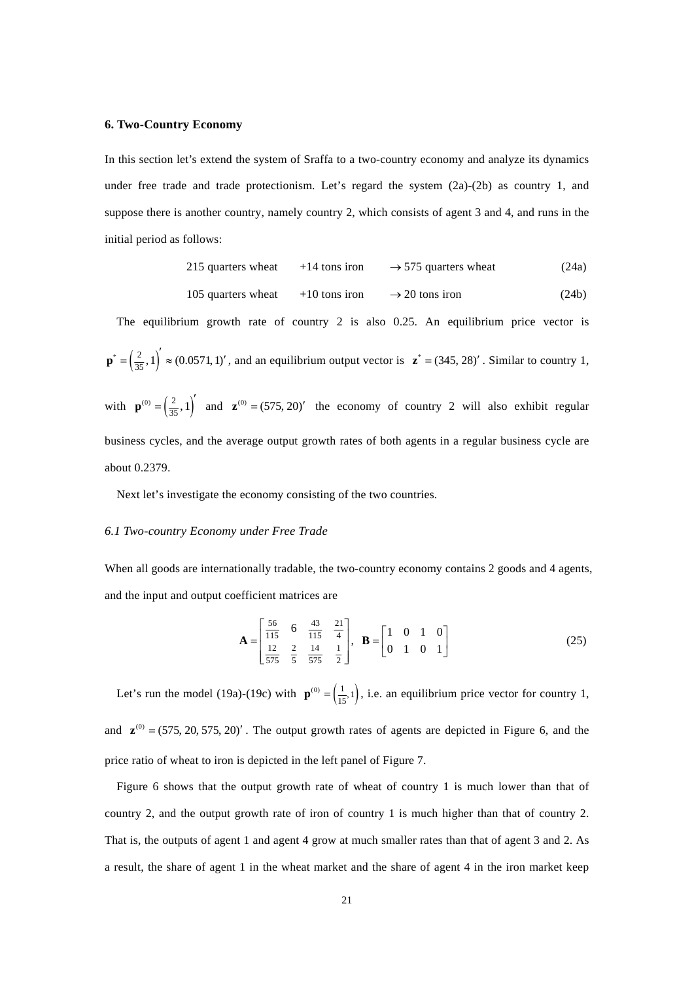## **6. Two-Country Economy**

In this section let's extend the system of Sraffa to a two-country economy and analyze its dynamics under free trade and trade protectionism. Let's regard the system  $(2a)-(2b)$  as country 1, and suppose there is another country, namely country 2, which consists of agent 3 and 4, and runs in the initial period as follows:

215 quarters wheat 
$$
+14
$$
 tons iron  $\rightarrow$  575 quarters wheat (24a)

105 quarters wheat 
$$
+10
$$
 tons iron  $\rightarrow$  20 tons iron (24b)

The equilibrium growth rate of country 2 is also 0.25. An equilibrium price vector is  $\mathbf{p}^* = \left(\frac{2}{35}, 1\right)' \approx (0.0571, 1)'$ , and an equilibrium output vector is  $\mathbf{z}^* = (345, 28)'$ . Similar to country 1, with  $\mathbf{p}^{(0)} = \left(\frac{2}{35}, 1\right)^{\prime}$  and  $\mathbf{z}^{(0)} = (575, 20)^{\prime}$  the economy of country 2 will also exhibit regular business cycles, and the average output growth rates of both agents in a regular business cycle are about 0.2379.

Next let's investigate the economy consisting of the two countries.

#### *6.1 Two-country Economy under Free Trade*

When all goods are internationally tradable, the two-country economy contains 2 goods and 4 agents, and the input and output coefficient matrices are

$$
\mathbf{A} = \begin{bmatrix} \frac{56}{115} & 6 & \frac{43}{115} & \frac{21}{4} \\ \frac{12}{575} & \frac{2}{5} & \frac{14}{575} & \frac{1}{2} \end{bmatrix}, \quad \mathbf{B} = \begin{bmatrix} 1 & 0 & 1 & 0 \\ 0 & 1 & 0 & 1 \end{bmatrix}
$$
(25)

Let's run the model (19a)-(19c) with  $\mathbf{p}^{(0)} = \left(\frac{1}{15}, 1\right)$ , i.e. an equilibrium price vector for country 1, and  $\mathbf{z}^{(0)} = (575, 20, 575, 20)'$ . The output growth rates of agents are depicted in Figure 6, and the price ratio of wheat to iron is depicted in the left panel of Figure 7.

Figure 6 shows that the output growth rate of wheat of country 1 is much lower than that of country 2, and the output growth rate of iron of country 1 is much higher than that of country 2. That is, the outputs of agent 1 and agent 4 grow at much smaller rates than that of agent 3 and 2. As a result, the share of agent 1 in the wheat market and the share of agent 4 in the iron market keep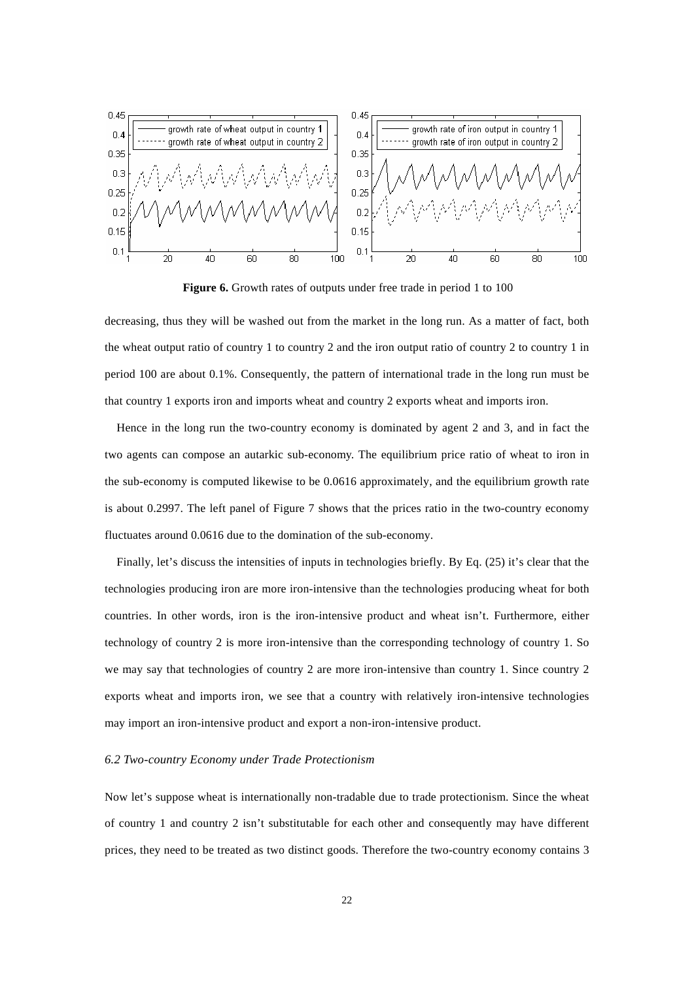

**Figure 6.** Growth rates of outputs under free trade in period 1 to 100

decreasing, thus they will be washed out from the market in the long run. As a matter of fact, both the wheat output ratio of country 1 to country 2 and the iron output ratio of country 2 to country 1 in period 100 are about 0.1%. Consequently, the pattern of international trade in the long run must be that country 1 exports iron and imports wheat and country 2 exports wheat and imports iron.

Hence in the long run the two-country economy is dominated by agent 2 and 3, and in fact the two agents can compose an autarkic sub-economy. The equilibrium price ratio of wheat to iron in the sub-economy is computed likewise to be 0.0616 approximately, and the equilibrium growth rate is about 0.2997. The left panel of Figure 7 shows that the prices ratio in the two-country economy fluctuates around 0.0616 due to the domination of the sub-economy.

Finally, let's discuss the intensities of inputs in technologies briefly. By Eq. (25) it's clear that the technologies producing iron are more iron-intensive than the technologies producing wheat for both countries. In other words, iron is the iron-intensive product and wheat isn't. Furthermore, either technology of country 2 is more iron-intensive than the corresponding technology of country 1. So we may say that technologies of country 2 are more iron-intensive than country 1. Since country 2 exports wheat and imports iron, we see that a country with relatively iron-intensive technologies may import an iron-intensive product and export a non-iron-intensive product.

## *6.2 Two-country Economy under Trade Protectionism*

Now let's suppose wheat is internationally non-tradable due to trade protectionism. Since the wheat of country 1 and country 2 isn't substitutable for each other and consequently may have different prices, they need to be treated as two distinct goods. Therefore the two-country economy contains 3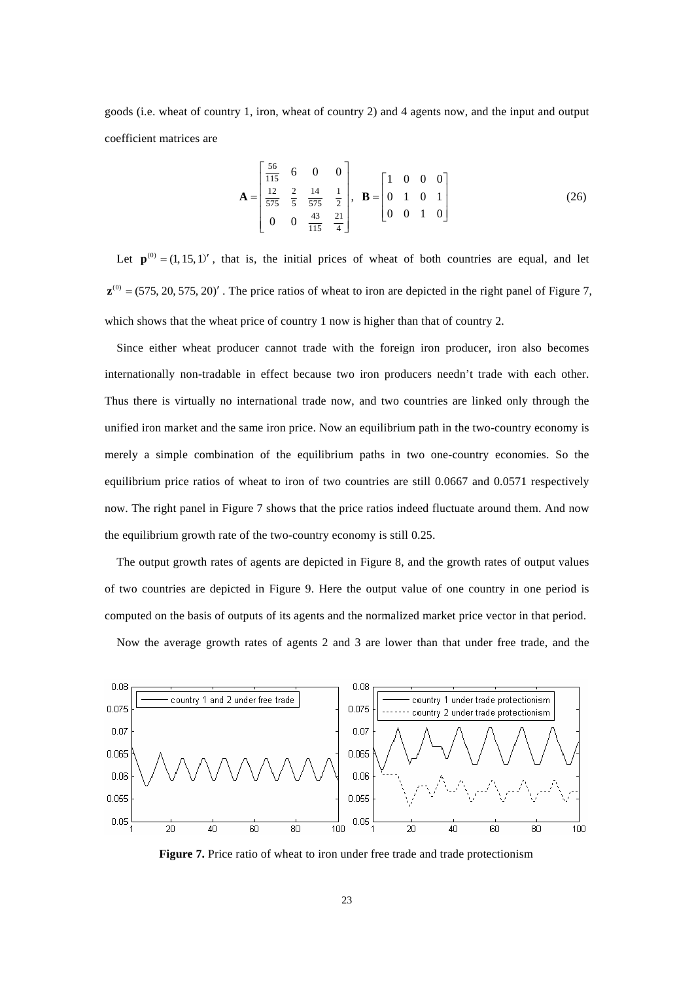goods (i.e. wheat of country 1, iron, wheat of country 2) and 4 agents now, and the input and output coefficient matrices are

$$
\mathbf{A} = \begin{bmatrix} \frac{56}{115} & 6 & 0 & 0 \\ \frac{12}{575} & \frac{2}{5} & \frac{14}{575} & \frac{1}{2} \\ 0 & 0 & \frac{43}{115} & \frac{21}{4} \end{bmatrix}, \quad \mathbf{B} = \begin{bmatrix} 1 & 0 & 0 & 0 \\ 0 & 1 & 0 & 1 \\ 0 & 0 & 1 & 0 \end{bmatrix}
$$
(26)

Let  $\mathbf{p}^{(0)} = (1, 15, 1)'$ , that is, the initial prices of wheat of both countries are equal, and let  $\mathbf{z}^{(0)} = (575, 20, 575, 20)'$ . The price ratios of wheat to iron are depicted in the right panel of Figure 7, which shows that the wheat price of country 1 now is higher than that of country 2.

Since either wheat producer cannot trade with the foreign iron producer, iron also becomes internationally non-tradable in effect because two iron producers needn't trade with each other. Thus there is virtually no international trade now, and two countries are linked only through the unified iron market and the same iron price. Now an equilibrium path in the two-country economy is merely a simple combination of the equilibrium paths in two one-country economies. So the equilibrium price ratios of wheat to iron of two countries are still 0.0667 and 0.0571 respectively now. The right panel in Figure 7 shows that the price ratios indeed fluctuate around them. And now the equilibrium growth rate of the two-country economy is still 0.25.

The output growth rates of agents are depicted in Figure 8, and the growth rates of output values of two countries are depicted in Figure 9. Here the output value of one country in one period is computed on the basis of outputs of its agents and the normalized market price vector in that period.

Now the average growth rates of agents 2 and 3 are lower than that under free trade, and the



**Figure 7.** Price ratio of wheat to iron under free trade and trade protectionism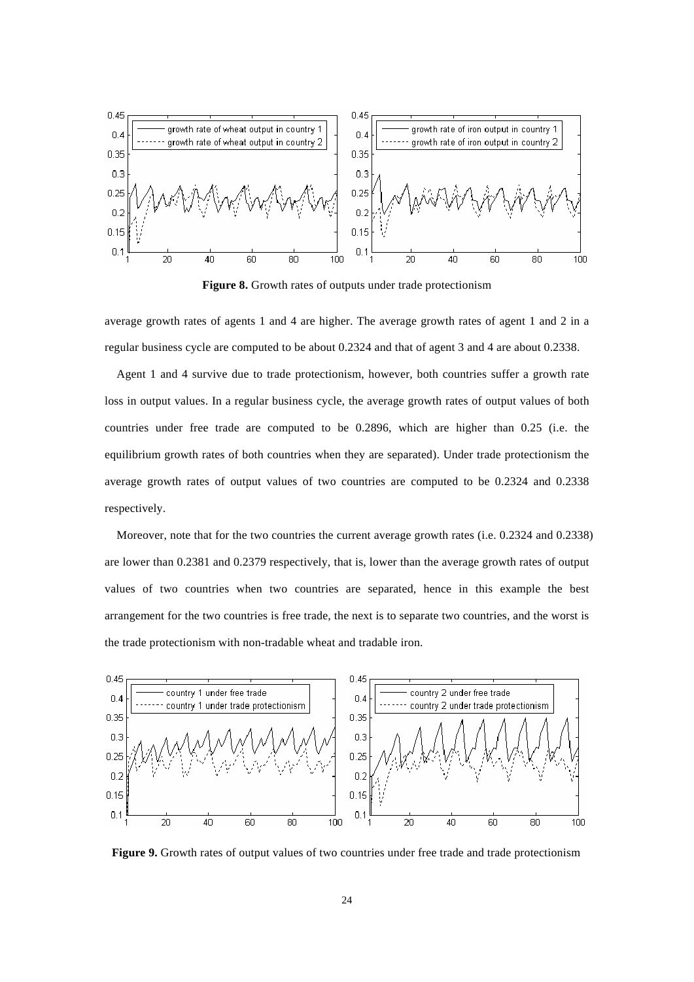

**Figure 8.** Growth rates of outputs under trade protectionism

average growth rates of agents 1 and 4 are higher. The average growth rates of agent 1 and 2 in a regular business cycle are computed to be about 0.2324 and that of agent 3 and 4 are about 0.2338.

Agent 1 and 4 survive due to trade protectionism, however, both countries suffer a growth rate loss in output values. In a regular business cycle, the average growth rates of output values of both countries under free trade are computed to be 0.2896, which are higher than 0.25 (i.e. the equilibrium growth rates of both countries when they are separated). Under trade protectionism the average growth rates of output values of two countries are computed to be 0.2324 and 0.2338 respectively.

Moreover, note that for the two countries the current average growth rates (i.e. 0.2324 and 0.2338) are lower than 0.2381 and 0.2379 respectively, that is, lower than the average growth rates of output values of two countries when two countries are separated, hence in this example the best arrangement for the two countries is free trade, the next is to separate two countries, and the worst is the trade protectionism with non-tradable wheat and tradable iron.



**Figure 9.** Growth rates of output values of two countries under free trade and trade protectionism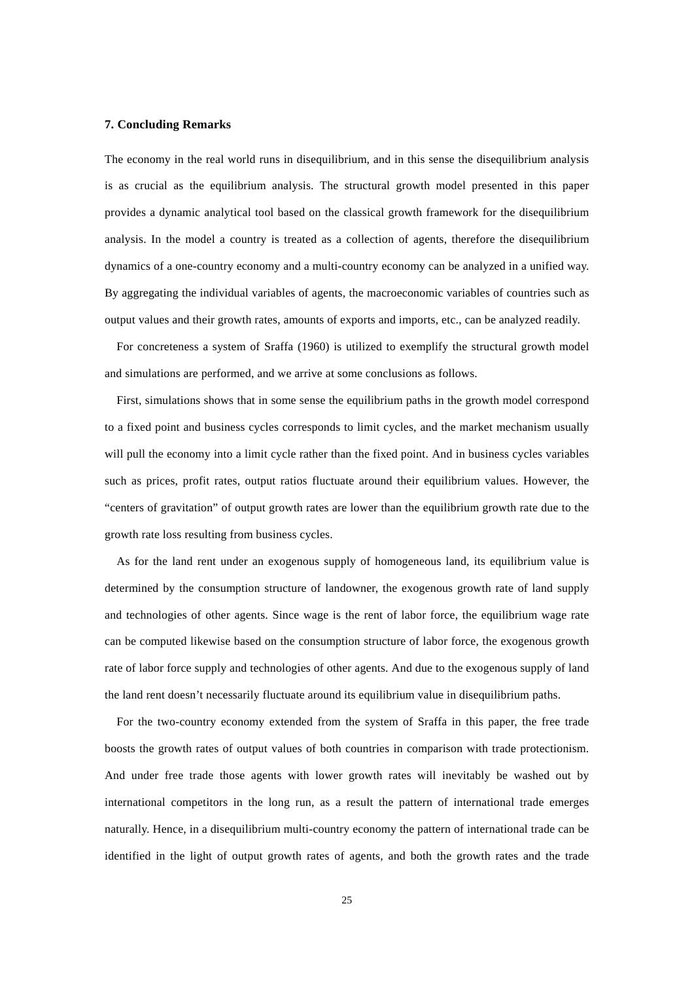## **7. Concluding Remarks**

The economy in the real world runs in disequilibrium, and in this sense the disequilibrium analysis is as crucial as the equilibrium analysis. The structural growth model presented in this paper provides a dynamic analytical tool based on the classical growth framework for the disequilibrium analysis. In the model a country is treated as a collection of agents, therefore the disequilibrium dynamics of a one-country economy and a multi-country economy can be analyzed in a unified way. By aggregating the individual variables of agents, the macroeconomic variables of countries such as output values and their growth rates, amounts of exports and imports, etc., can be analyzed readily.

For concreteness a system of Sraffa (1960) is utilized to exemplify the structural growth model and simulations are performed, and we arrive at some conclusions as follows.

First, simulations shows that in some sense the equilibrium paths in the growth model correspond to a fixed point and business cycles corresponds to limit cycles, and the market mechanism usually will pull the economy into a limit cycle rather than the fixed point. And in business cycles variables such as prices, profit rates, output ratios fluctuate around their equilibrium values. However, the "centers of gravitation" of output growth rates are lower than the equilibrium growth rate due to the growth rate loss resulting from business cycles.

As for the land rent under an exogenous supply of homogeneous land, its equilibrium value is determined by the consumption structure of landowner, the exogenous growth rate of land supply and technologies of other agents. Since wage is the rent of labor force, the equilibrium wage rate can be computed likewise based on the consumption structure of labor force, the exogenous growth rate of labor force supply and technologies of other agents. And due to the exogenous supply of land the land rent doesn't necessarily fluctuate around its equilibrium value in disequilibrium paths.

For the two-country economy extended from the system of Sraffa in this paper, the free trade boosts the growth rates of output values of both countries in comparison with trade protectionism. And under free trade those agents with lower growth rates will inevitably be washed out by international competitors in the long run, as a result the pattern of international trade emerges naturally. Hence, in a disequilibrium multi-country economy the pattern of international trade can be identified in the light of output growth rates of agents, and both the growth rates and the trade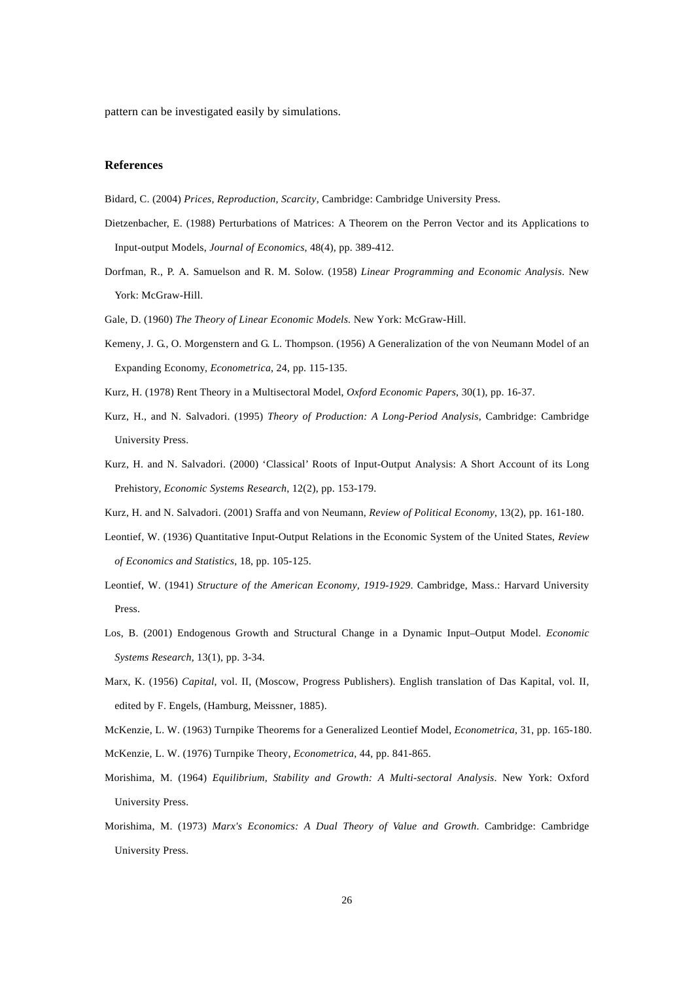pattern can be investigated easily by simulations.

## **References**

- Bidard, C. (2004) *Prices, Reproduction, Scarcity*, Cambridge: Cambridge University Press.
- Dietzenbacher, E. (1988) Perturbations of Matrices: A Theorem on the Perron Vector and its Applications to Input-output Models, *Journal of Economics*, 48(4), pp. 389-412.
- Dorfman, R., P. A. Samuelson and R. M. Solow. (1958) *Linear Programming and Economic Analysis*. New York: McGraw-Hill.
- Gale, D. (1960) *The Theory of Linear Economic Models.* New York: McGraw-Hill.
- Kemeny, J. G., O. Morgenstern and G. L. Thompson. (1956) A Generalization of the von Neumann Model of an Expanding Economy, *Econometrica*, 24, pp. 115-135.
- Kurz, H. (1978) Rent Theory in a Multisectoral Model, *Oxford Economic Papers*, 30(1), pp. 16-37.
- Kurz, H., and N. Salvadori. (1995) *Theory of Production: A Long-Period Analysis*, Cambridge: Cambridge University Press.
- Kurz, H. and N. Salvadori. (2000) 'Classical' Roots of Input-Output Analysis: A Short Account of its Long Prehistory, *Economic Systems Research*, 12(2), pp. 153-179.
- Kurz, H. and N. Salvadori. (2001) Sraffa and von Neumann, *Review of Political Economy*, 13(2), pp. 161-180.
- Leontief, W. (1936) Quantitative Input-Output Relations in the Economic System of the United States, *Review of Economics and Statistics*, 18, pp. 105-125.
- Leontief, W. (1941) *Structure of the American Economy, 1919-1929*. Cambridge, Mass.: Harvard University Press.
- Los, B. (2001) Endogenous Growth and Structural Change in a Dynamic Input–Output Model. *Economic Systems Research*, 13(1), pp. 3-34.
- Marx, K. (1956) *Capital*, vol. II, (Moscow, Progress Publishers). English translation of Das Kapital, vol. II, edited by F. Engels, (Hamburg, Meissner, 1885).
- McKenzie, L. W. (1963) Turnpike Theorems for a Generalized Leontief Model, *Econometrica*, 31, pp. 165-180. McKenzie, L. W. (1976) Turnpike Theory, *Econometrica*, 44, pp. 841-865.
- Morishima, M. (1964) *Equilibrium, Stability and Growth: A Multi-sectoral Analysis*. New York: Oxford University Press.
- Morishima, M. (1973) *Marx's Economics: A Dual Theory of Value and Growth*. Cambridge: Cambridge University Press.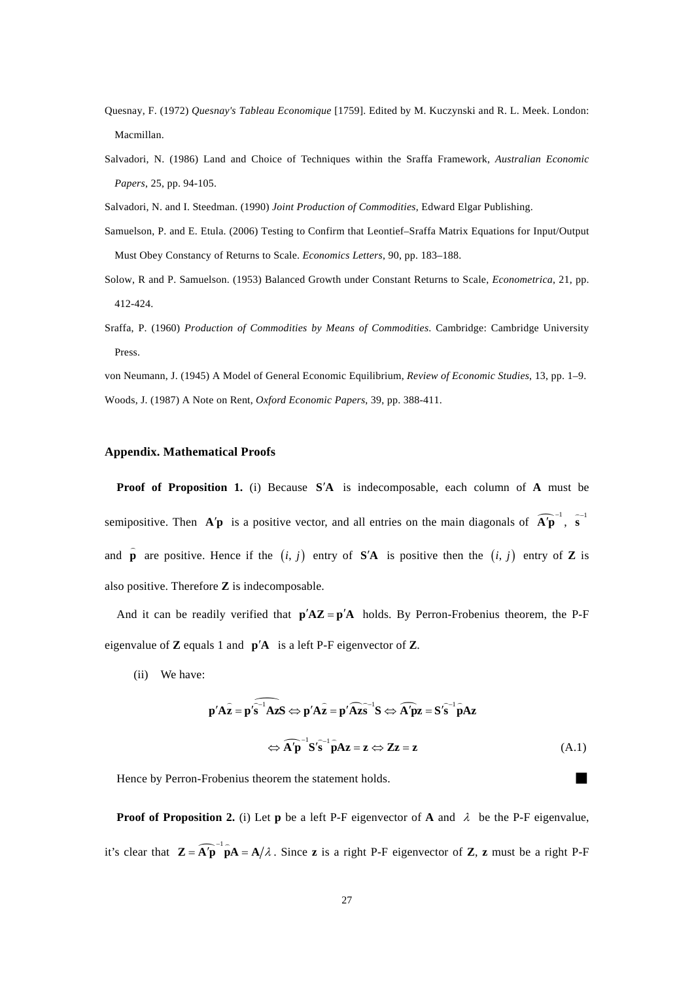- Quesnay, F. (1972) *Quesnay's Tableau Economique* [1759]. Edited by M. Kuczynski and R. L. Meek. London: Macmillan.
- Salvadori, N. (1986) Land and Choice of Techniques within the Sraffa Framework, *Australian Economic Papers*, 25, pp. 94-105.
- Salvadori, N. and I. Steedman. (1990) *Joint Production of Commodities*, Edward Elgar Publishing.
- Samuelson, P. and E. Etula. (2006) Testing to Confirm that Leontief–Sraffa Matrix Equations for Input/Output Must Obey Constancy of Returns to Scale. *Economics Letters*, 90, pp. 183–188.
- Solow, R and P. Samuelson. (1953) Balanced Growth under Constant Returns to Scale, *Econometrica*, 21, pp. 412-424.
- Sraffa, P. (1960) *Production of Commodities by Means of Commodities*. Cambridge: Cambridge University Press.

von Neumann, J. (1945) A Model of General Economic Equilibrium, *Review of Economic Studies*, 13, pp. 1–9. Woods, J. (1987) A Note on Rent, *Oxford Economic Papers*, 39, pp. 388-411.

## **Appendix. Mathematical Proofs**

**Proof of Proposition 1.** (i) Because **S'A** is indecomposable, each column of **A** must be semipositive. Then  $\mathbf{A}'\mathbf{p}$  is a positive vector, and all entries on the main diagonals of  $\widehat{\mathbf{A}'\mathbf{p}}^{-1}$ ,  $\widehat{\mathbf{s}}^{-1}$  $\overline{a}$ and **p**  $\hat{\mathbf{p}}$  are positive. Hence if the  $(i, j)$  entry of **S'A** is positive then the  $(i, j)$  entry of **Z** is also positive. Therefore **Z** is indecomposable.

And it can be readily verified that  $p'AZ = p'A$  holds. By Perron-Frobenius theorem, the P-F eigenvalue of **Z** equals 1 and  $p'A$  is a left P-F eigenvector of **Z**.

(ii) We have:

$$
\mathbf{p}' \mathbf{A} \mathbf{z} = \mathbf{p}' \mathbf{s}^{-1} \mathbf{A} \mathbf{z} \mathbf{S} \Leftrightarrow \mathbf{p}' \mathbf{A} \mathbf{z} = \mathbf{p}' \mathbf{A} \mathbf{z} \mathbf{s}^{-1} \mathbf{S} \Leftrightarrow \mathbf{A}' \mathbf{p} \mathbf{z} = \mathbf{S}' \mathbf{s}^{-1} \mathbf{p} \mathbf{A} \mathbf{z}
$$
  

$$
\Leftrightarrow \mathbf{A}' \mathbf{p}^{-1} \mathbf{S}' \mathbf{s}^{-1} \mathbf{p} \mathbf{A} \mathbf{z} = \mathbf{z} \Leftrightarrow \mathbf{Z} \mathbf{z} = \mathbf{z}
$$
 (A.1)

Hence by Perron-Frobenius theorem the statement holds.

**Proof of Proposition 2. (i) Let <b>p** be a left P-F eigenvector of **A** and  $\lambda$  be the P-F eigenvalue, it's clear that  $\mathbf{Z} = \widehat{\mathbf{A}'\mathbf{p}}^{-1} \widehat{\mathbf{p}}\mathbf{A} = \mathbf{A}/\lambda$ . Since **z** is a right P-F eigenvector of **Z**, **z** must be a right P-F